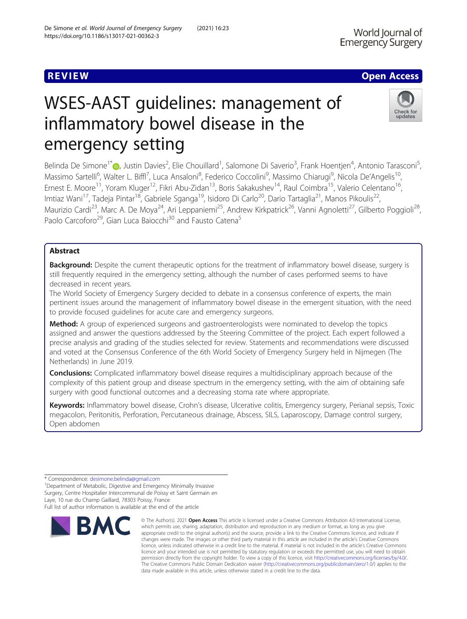# **REVIEW ACCESS AND LOCAL CONTRACT CONTRACT OF ACCESS**

# WSES-AAST guidelines: management of inflammatory bowel disease in the emergency setting

Belinda De Simone<sup>1\*</sup>®, Justin Davies<sup>2</sup>, Elie Chouillard<sup>1</sup>, Salomone Di Saverio<sup>3</sup>, Frank Hoentjen<sup>4</sup>, Antonio Tarasconi<sup>5</sup> , Massimo Sartelli<sup>6</sup>, Walter L. Biffl<sup>7</sup>, Luca Ansaloni<sup>8</sup>, Federico Coccolini<sup>9</sup>, Massimo Chiarugi<sup>9</sup>, Nicola De'Angelis<sup>10</sup>, Ernest E. Moore<sup>11</sup>, Yoram Kluger<sup>12</sup>, Fikri Abu-Zidan<sup>13</sup>, Boris Sakakushev<sup>14</sup>, Raul Coimbra<sup>15</sup>, Valerio Celentano<sup>16</sup>, Imtiaz Wani<sup>17</sup>, Tadeja Pintar<sup>18</sup>, Gabriele Sganga<sup>19</sup>, Isidoro Di Carlo<sup>20</sup>, Dario Tartaglia<sup>21</sup>, Manos Pikoulis<sup>22</sup>, Maurizio Cardi<sup>23</sup>, Marc A. De Moya<sup>24</sup>, Ari Leppaniemi<sup>25</sup>, Andrew Kirkpatrick<sup>26</sup>, Vanni Agnoletti<sup>27</sup>, Gilberto Poggioli<sup>28</sup>, Paolo Carcoforo<sup>29</sup>, Gian Luca Baiocchi<sup>30</sup> and Fausto Catena<sup>5</sup>

# Abstract

Background: Despite the current therapeutic options for the treatment of inflammatory bowel disease, surgery is still frequently required in the emergency setting, although the number of cases performed seems to have decreased in recent years.

The World Society of Emergency Surgery decided to debate in a consensus conference of experts, the main pertinent issues around the management of inflammatory bowel disease in the emergent situation, with the need to provide focused guidelines for acute care and emergency surgeons.

Method: A group of experienced surgeons and gastroenterologists were nominated to develop the topics assigned and answer the questions addressed by the Steering Committee of the project. Each expert followed a precise analysis and grading of the studies selected for review. Statements and recommendations were discussed and voted at the Consensus Conference of the 6th World Society of Emergency Surgery held in Nijmegen (The Netherlands) in June 2019.

**Conclusions:** Complicated inflammatory bowel disease requires a multidisciplinary approach because of the complexity of this patient group and disease spectrum in the emergency setting, with the aim of obtaining safe surgery with good functional outcomes and a decreasing stoma rate where appropriate.

Keywords: Inflammatory bowel disease, Crohn's disease, Ulcerative colitis, Emergency surgery, Perianal sepsis, Toxic megacolon, Peritonitis, Perforation, Percutaneous drainage, Abscess, SILS, Laparoscopy, Damage control surgery, Open abdomen



<sup>\*</sup> Correspondence: [desimone.belinda@gmail.com](mailto:desimone.belinda@gmail.com) <sup>1</sup>

<sup>&</sup>lt;sup>1</sup>Department of Metabolic, Digestive and Emergency Minimally Invasive Surgery, Centre Hospitalier Intercommunal de Poissy et Saint Germain en Laye, 10 rue du Champ Gaillard, 78303 Poissy, France Full list of author information is available at the end of the article

<sup>©</sup> The Author(s), 2021 **Open Access** This article is licensed under a Creative Commons Attribution 4.0 International License, which permits use, sharing, adaptation, distribution and reproduction in any medium or format, as long as you give appropriate credit to the original author(s) and the source, provide a link to the Creative Commons licence, and indicate if changes were made. The images or other third party material in this article are included in the article's Creative Commons licence, unless indicated otherwise in a credit line to the material. If material is not included in the article's Creative Commons licence and your intended use is not permitted by statutory regulation or exceeds the permitted use, you will need to obtain permission directly from the copyright holder. To view a copy of this licence, visit [http://creativecommons.org/licenses/by/4.0/.](http://creativecommons.org/licenses/by/4.0/) The Creative Commons Public Domain Dedication waiver [\(http://creativecommons.org/publicdomain/zero/1.0/](http://creativecommons.org/publicdomain/zero/1.0/)) applies to the data made available in this article, unless otherwise stated in a credit line to the data.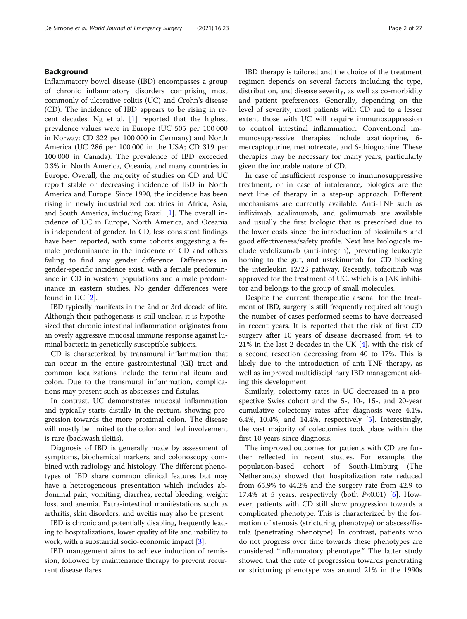# Background

Inflammatory bowel disease (IBD) encompasses a group of chronic inflammatory disorders comprising most commonly of ulcerative colitis (UC) and Crohn's disease (CD). The incidence of IBD appears to be rising in recent decades. Ng et al. [\[1](#page-23-0)] reported that the highest prevalence values were in Europe (UC 505 per 100 000 in Norway; CD 322 per 100 000 in Germany) and North America (UC 286 per 100 000 in the USA; CD 319 per 100 000 in Canada). The prevalence of IBD exceeded 0.3% in North America, Oceania, and many countries in Europe. Overall, the majority of studies on CD and UC report stable or decreasing incidence of IBD in North America and Europe. Since 1990, the incidence has been rising in newly industrialized countries in Africa, Asia, and South America, including Brazil [[1\]](#page-23-0). The overall incidence of UC in Europe, North America, and Oceania is independent of gender. In CD, less consistent findings have been reported, with some cohorts suggesting a female predominance in the incidence of CD and others failing to find any gender difference. Differences in gender-specific incidence exist, with a female predominance in CD in western populations and a male predominance in eastern studies. No gender differences were found in UC [\[2](#page-23-0)].

IBD typically manifests in the 2nd or 3rd decade of life. Although their pathogenesis is still unclear, it is hypothesized that chronic intestinal inflammation originates from an overly aggressive mucosal immune response against luminal bacteria in genetically susceptible subjects.

CD is characterized by transmural inflammation that can occur in the entire gastrointestinal (GI) tract and common localizations include the terminal ileum and colon. Due to the transmural inflammation, complications may present such as abscesses and fistulas.

In contrast, UC demonstrates mucosal inflammation and typically starts distally in the rectum, showing progression towards the more proximal colon. The disease will mostly be limited to the colon and ileal involvement is rare (backwash ileitis).

Diagnosis of IBD is generally made by assessment of symptoms, biochemical markers, and colonoscopy combined with radiology and histology. The different phenotypes of IBD share common clinical features but may have a heterogeneous presentation which includes abdominal pain, vomiting, diarrhea, rectal bleeding, weight loss, and anemia. Extra-intestinal manifestations such as arthritis, skin disorders, and uveitis may also be present.

IBD is chronic and potentially disabling, frequently leading to hospitalizations, lower quality of life and inability to work, with a substantial socio-economic impact [[3](#page-23-0)].

IBD management aims to achieve induction of remission, followed by maintenance therapy to prevent recurrent disease flares.

IBD therapy is tailored and the choice of the treatment regimen depends on several factors including the type, distribution, and disease severity, as well as co-morbidity and patient preferences. Generally, depending on the level of severity, most patients with CD and to a lesser extent those with UC will require immunosuppression to control intestinal inflammation. Conventional immunosuppressive therapies include azathioprine, 6 mercaptopurine, methotrexate, and 6-thioguanine. These therapies may be necessary for many years, particularly given the incurable nature of CD.

In case of insufficient response to immunosuppressive treatment, or in case of intolerance, biologics are the next line of therapy in a step-up approach. Different mechanisms are currently available. Anti-TNF such as infliximab, adalimumab, and golimumab are available and usually the first biologic that is prescribed due to the lower costs since the introduction of biosimilars and good effectiveness/safety profile. Next line biologicals include vedolizumab (anti-integrin), preventing leukocyte homing to the gut, and ustekinumab for CD blocking the interleukin 12/23 pathway. Recently, tofacitinib was approved for the treatment of UC, which is a JAK inhibitor and belongs to the group of small molecules.

Despite the current therapeutic arsenal for the treatment of IBD, surgery is still frequently required although the number of cases performed seems to have decreased in recent years. It is reported that the risk of first CD surgery after 10 years of disease decreased from 44 to 21% in the last 2 decades in the UK [\[4](#page-23-0)], with the risk of a second resection decreasing from 40 to 17%. This is likely due to the introduction of anti-TNF therapy, as well as improved multidisciplinary IBD management aiding this development.

Similarly, colectomy rates in UC decreased in a prospective Swiss cohort and the 5-, 10-, 15-, and 20-year cumulative colectomy rates after diagnosis were 4.1%, 6.4%, 10.4%, and 14.4%, respectively [[5\]](#page-23-0). Interestingly, the vast majority of colectomies took place within the first 10 years since diagnosis.

The improved outcomes for patients with CD are further reflected in recent studies. For example, the population-based cohort of South-Limburg (The Netherlands) showed that hospitalization rate reduced from 65.9% to 44.2% and the surgery rate from 42.9 to 17.4% at 5 years, respectively (both  $P<0.01$ ) [\[6](#page-23-0)]. However, patients with CD still show progression towards a complicated phenotype. This is characterized by the formation of stenosis (stricturing phenotype) or abscess/fistula (penetrating phenotype). In contrast, patients who do not progress over time towards these phenotypes are considered "inflammatory phenotype." The latter study showed that the rate of progression towards penetrating or stricturing phenotype was around 21% in the 1990s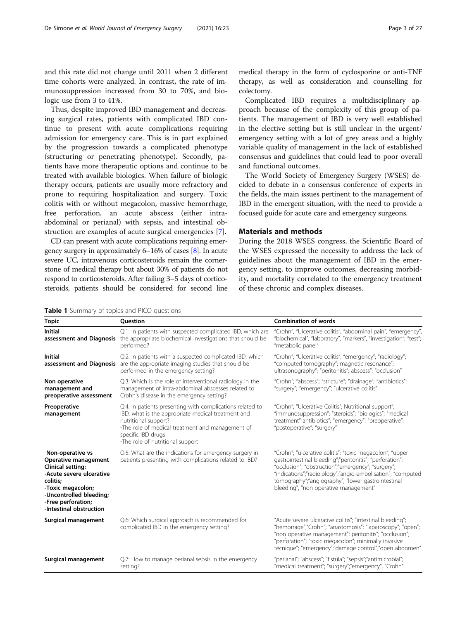<span id="page-2-0"></span>and this rate did not change until 2011 when 2 different time cohorts were analyzed. In contrast, the rate of immunosuppression increased from 30 to 70%, and biologic use from 3 to 41%.

Thus, despite improved IBD management and decreasing surgical rates, patients with complicated IBD continue to present with acute complications requiring admission for emergency care. This is in part explained by the progression towards a complicated phenotype (structuring or penetrating phenotype). Secondly, patients have more therapeutic options and continue to be treated with available biologics. When failure of biologic therapy occurs, patients are usually more refractory and prone to requiring hospitalization and surgery. Toxic colitis with or without megacolon, massive hemorrhage, free perforation, an acute abscess (either intraabdominal or perianal) with sepsis, and intestinal obstruction are examples of acute surgical emergencies [[7\]](#page-23-0).

CD can present with acute complications requiring emergency surgery in approximately 6–16% of cases [\[8](#page-23-0)]. In acute severe UC, intravenous corticosteroids remain the cornerstone of medical therapy but about 30% of patients do not respond to corticosteroids. After failing 3–5 days of corticosteroids, patients should be considered for second line

medical therapy in the form of cyclosporine or anti-TNF therapy, as well as consideration and counselling for colectomy.

Complicated IBD requires a multidisciplinary approach because of the complexity of this group of patients. The management of IBD is very well established in the elective setting but is still unclear in the urgent/ emergency setting with a lot of grey areas and a highly variable quality of management in the lack of established consensus and guidelines that could lead to poor overall and functional outcomes.

The World Society of Emergency Surgery (WSES) decided to debate in a consensus conference of experts in the fields, the main issues pertinent to the management of IBD in the emergent situation, with the need to provide a focused guide for acute care and emergency surgeons.

# Materials and methods

During the 2018 WSES congress, the Scientific Board of the WSES expressed the necessity to address the lack of guidelines about the management of IBD in the emergency setting, to improve outcomes, decreasing morbidity, and mortality correlated to the emergency treatment of these chronic and complex diseases.

|  |  |  | <b>Table 1</b> Summary of topics and PICO questions |
|--|--|--|-----------------------------------------------------|
|--|--|--|-----------------------------------------------------|

| <b>Topic</b>                                                                                                                                                                                                  | <b>Ouestion</b>                                                                                                                                                                                                                                       | <b>Combination of words</b>                                                                                                                                                                                                                                                                                                              |
|---------------------------------------------------------------------------------------------------------------------------------------------------------------------------------------------------------------|-------------------------------------------------------------------------------------------------------------------------------------------------------------------------------------------------------------------------------------------------------|------------------------------------------------------------------------------------------------------------------------------------------------------------------------------------------------------------------------------------------------------------------------------------------------------------------------------------------|
| <b>Initial</b>                                                                                                                                                                                                | Q.1: In patients with suspected complicated IBD, which are<br>assessment and Diagnosis the appropriate biochemical investigations that should be<br>performed?                                                                                        | "Crohn", "Ulcerative colitis", "abdominal pain", "emergency",<br>"biochemical", "laboratory", "markers", "investigation"; "test";<br>"metabolic panel"                                                                                                                                                                                   |
| <b>Initial</b>                                                                                                                                                                                                | Q.2: In patients with a suspected complicated IBD, which<br>assessment and Diagnosis are the appropriate imaging studies that should be<br>performed in the emergency setting?                                                                        | "Crohn"; "Ulcerative colitis"; "emergency"; "radiology";<br>"computed tomography"; magnetic resonance";<br>ultrasonography"; "peritonitis"; abscess"; "occlusion"                                                                                                                                                                        |
| Non operative<br>management and<br>preoperative assessment                                                                                                                                                    | Q.3: Which is the role of interventional radiology in the<br>management of intra-abdominal abscesses related to<br>Crohn's disease in the emergency setting?                                                                                          | "Crohn"; "abscess"; "stricture"; "drainage"; "antibiotics";<br>"surgery"; "emergency"; "ulcerative colitis"                                                                                                                                                                                                                              |
| Preoperative<br>management                                                                                                                                                                                    | Q.4: In patients presenting with complications related to<br>IBD, what is the appropriate medical treatment and<br>nutritional support?<br>-The role of medical treatment and management of<br>specific IBD drugs<br>-The role of nutritional support | "Crohn"; "Ulcerative Colitis"; Nutritional support";<br>"immunosuppression"; "steroids"; "biologics"; "medical<br>treatment" antibiotics"; "emergency"; "preoperative";<br>"postoperative"; "surgery"                                                                                                                                    |
| Non-operative vs<br><b>Operative management</b><br>Clinical setting:<br>-Acute severe ulcerative<br>colitis:<br>-Toxic megacolon;<br>-Uncontrolled bleeding;<br>-Free perforation;<br>-Intestinal obstruction | Q.5: What are the indications for emergency surgery in<br>patients presenting with complications related to IBD?                                                                                                                                      | "Crohn"; "ulcerative colitis"; "toxic megacolon"; "upper<br>qastrointestinal bleeding";"peritonitis"; "perforation";<br>"occlusion"; "obstruction";"emergency"; "surgery";<br>"indications";"radiolology";"angio-embolisation"; "computed<br>tomography";"angiography", "lower gastrointestinal<br>bleeding", "non operative management" |
| <b>Surgical management</b>                                                                                                                                                                                    | Q.6: Which surgical approach is recommended for<br>complicated IBD in the emergency setting?                                                                                                                                                          | "Acute severe ulcerative colitis"; "intestinal bleeding";<br>"hemorrage";"Crohn"; "anastomosis"; "laparoscopy"; "open";<br>"non operative management"; peritonitis"; "occlusion";<br>"perforation"; "toxic megacolon"; minimally invasive<br>tecnique"; "emergency";"damage control";"open abdomen"                                      |
| Surgical management                                                                                                                                                                                           | Q.7: How to manage perianal sepsis in the emergency<br>setting?                                                                                                                                                                                       | "perianal"; "abscess"; "fistula"; "sepsis";"antimicrobial";<br>"medical treatment"; "surgery";"emergency", "Crohn"                                                                                                                                                                                                                       |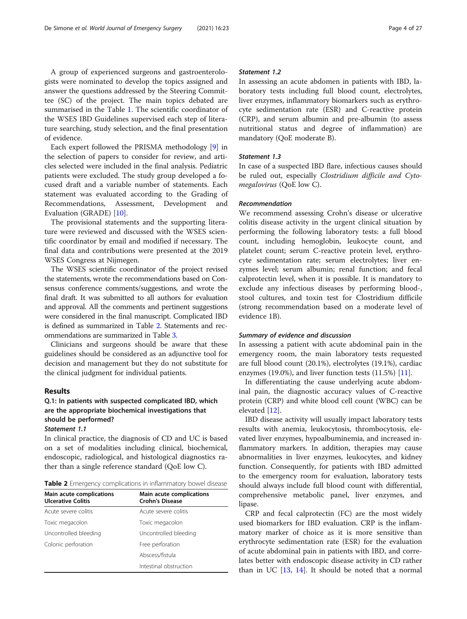A group of experienced surgeons and gastroenterologists were nominated to develop the topics assigned and answer the questions addressed by the Steering Committee (SC) of the project. The main topics debated are summarised in the Table [1.](#page-2-0) The scientific coordinator of the WSES IBD Guidelines supervised each step of literature searching, study selection, and the final presentation of evidence.

Each expert followed the PRISMA methodology [[9\]](#page-23-0) in the selection of papers to consider for review, and articles selected were included in the final analysis. Pediatric patients were excluded. The study group developed a focused draft and a variable number of statements. Each statement was evaluated according to the Grading of Recommendations, Assessment, Development and Evaluation (GRADE) [[10\]](#page-23-0).

The provisional statements and the supporting literature were reviewed and discussed with the WSES scientific coordinator by email and modified if necessary. The final data and contributions were presented at the 2019 WSES Congress at Nijmegen.

The WSES scientific coordinator of the project revised the statements, wrote the recommendations based on Consensus conference comments/suggestions, and wrote the final draft. It was submitted to all authors for evaluation and approval. All the comments and pertinent suggestions were considered in the final manuscript. Complicated IBD is defined as summarized in Table 2. Statements and recommendations are summarized in Table [3](#page-4-0).

Clinicians and surgeons should be aware that these guidelines should be considered as an adjunctive tool for decision and management but they do not substitute for the clinical judgment for individual patients.

#### Results

# Q.1: In patients with suspected complicated IBD, which are the appropriate biochemical investigations that should be performed?

Statement 1.1

In clinical practice, the diagnosis of CD and UC is based on a set of modalities including clinical, biochemical, endoscopic, radiological, and histological diagnostics rather than a single reference standard (QoE low C).

| Table 2 Emergency complications in inflammatory bowel disease |
|---------------------------------------------------------------|
|---------------------------------------------------------------|

| Main acute complications<br><b>Ulcerative Colitis</b> | Main acute complications<br><b>Crohn's Disease</b> |  |
|-------------------------------------------------------|----------------------------------------------------|--|
| Acute severe colitis                                  | Acute severe colitis                               |  |
| Toxic megacolon                                       | Toxic megacolon                                    |  |
| Uncontrolled bleeding                                 | Uncontrolled bleeding                              |  |
| Colonic perforation                                   | Free perforation                                   |  |
|                                                       | Abscess/fistula                                    |  |
|                                                       | Intestinal obstruction                             |  |

# Statement 1.2

In assessing an acute abdomen in patients with IBD, laboratory tests including full blood count, electrolytes, liver enzymes, inflammatory biomarkers such as erythrocyte sedimentation rate (ESR) and C-reactive protein (CRP), and serum albumin and pre-albumin (to assess nutritional status and degree of inflammation) are mandatory (QoE moderate B).

### Statement 1.3

In case of a suspected IBD flare, infectious causes should be ruled out, especially Clostridium difficile and Cytomegalovirus (QoE low C).

#### Recommendation

We recommend assessing Crohn's disease or ulcerative colitis disease activity in the urgent clinical situation by performing the following laboratory tests: a full blood count, including hemoglobin, leukocyte count, and platelet count; serum C-reactive protein level, erythrocyte sedimentation rate; serum electrolytes; liver enzymes level; serum albumin; renal function; and fecal calprotectin level, when it is possible. It is mandatory to exclude any infectious diseases by performing blood-, stool cultures, and toxin test for Clostridium difficile (strong recommendation based on a moderate level of evidence 1B).

#### Summary of evidence and discussion

In assessing a patient with acute abdominal pain in the emergency room, the main laboratory tests requested are full blood count (20.1%), electrolytes (19.1%), cardiac enzymes (19.0%), and liver function tests (11.5%) [[11\]](#page-23-0).

In differentiating the cause underlying acute abdominal pain, the diagnostic accuracy values of C-reactive protein (CRP) and white blood cell count (WBC) can be elevated [[12\]](#page-23-0).

IBD disease activity will usually impact laboratory tests results with anemia, leukocytosis, thrombocytosis, elevated liver enzymes, hypoalbuminemia, and increased inflammatory markers. In addition, therapies may cause abnormalities in liver enzymes, leukocytes, and kidney function. Consequently, for patients with IBD admitted to the emergency room for evaluation, laboratory tests should always include full blood count with differential, comprehensive metabolic panel, liver enzymes, and lipase.

CRP and fecal calprotectin (FC) are the most widely used biomarkers for IBD evaluation. CRP is the inflammatory marker of choice as it is more sensitive than erythrocyte sedimentation rate (ESR) for the evaluation of acute abdominal pain in patients with IBD, and correlates better with endoscopic disease activity in CD rather than in UC  $[13, 14]$  $[13, 14]$  $[13, 14]$  $[13, 14]$ . It should be noted that a normal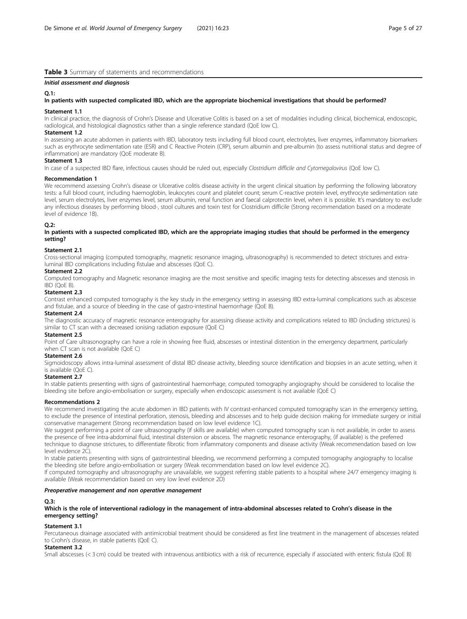# <span id="page-4-0"></span>Table 3 Summary of statements and recommendations

#### Initial assessment and diagnosis

#### $0.1$

#### In patients with suspected complicated IBD, which are the appropriate biochemical investigations that should be performed?

#### Statement 1.1

In clinical practice, the diagnosis of Crohn's Disease and Ulcerative Colitis is based on a set of modalities including clinical, biochemical, endoscopic, radiological, and histological diagnostics rather than a single reference standard (QoE low C).

#### Statement 1.2

In assessing an acute abdomen in patients with IBD, laboratory tests including full blood count, electrolytes, liver enzymes, inflammatory biomarkers such as erythrocyte sedimentation rate (ESR) and C Reactive Protein (CRP), serum albumin and pre-albumin (to assess nutritional status and degree of inflammation) are mandatory (QoE moderate B).

# Statement 1.3

In case of a suspected IBD flare, infectious causes should be ruled out, especially Clostridium difficile and Cytomegalovirus (QoE low C).

#### Recommendation 1

We recommend assessing Crohn's disease or Ulcerative colitis disease activity in the urgent clinical situation by performing the following laboratory tests: a full blood count, including haemoglobin, leukocytes count and platelet count; serum C-reactive protein level, erythrocyte sedimentation rate level, serum electrolytes, liver enzymes level, serum albumin, renal function and faecal calprotectin level, when it is possible. It's mandatory to exclude any infectious diseases by performing blood-, stool cultures and toxin test for Clostridium difficile (Strong recommendation based on a moderate level of evidence 1B).

# $0.2$

In patients with a suspected complicated IBD, which are the appropriate imaging studies that should be performed in the emergency setting?

#### Statement 2.1

Cross-sectional imaging (computed tomography, magnetic resonance imaging, ultrasonography) is recommended to detect strictures and extraluminal IBD complications including fistulae and abscesses (QoE C).

#### Statement 2.2

Computed tomography and Magnetic resonance imaging are the most sensitive and specific imaging tests for detecting abscesses and stenosis in IBD (QoE B).

#### Statement 2.3

Contrast enhanced computed tomography is the key study in the emergency setting in assessing IBD extra-luminal complications such as abscesse and fistulae, and a source of bleeding in the case of gastro-intestinal haemorrhage (QoE B).

#### Statement 2.4

The diagnostic accuracy of magnetic resonance enterography for assessing disease activity and complications related to IBD (including strictures) is similar to CT scan with a decreased ionising radiation exposure (QoE C)

#### Statement 2.5

Point of Care ultrasonography can have a role in showing free fluid, abscesses or intestinal distention in the emergency department, particularly when CT scan is not available (QoE C)

#### Statement 2.6

Sigmoidoscopy allows intra-luminal assessment of distal IBD disease activity, bleeding source identification and biopsies in an acute setting, when it is available (QoE C).

#### Statement 2.7

In stable patients presenting with signs of gastrointestinal haemorrhage, computed tomography angiography should be considered to localise the bleeding site before angio-embolisation or surgery, especially when endoscopic assessment is not available (QoE C)

#### Recommendations 2

We recommend investigating the acute abdomen in IBD patients with IV contrast-enhanced computed tomography scan in the emergency setting, to exclude the presence of intestinal perforation, stenosis, bleeding and abscesses and to help guide decision making for immediate surgery or initial conservative management (Strong recommendation based on low level evidence 1C).

We suggest performing a point of care ultrasonography (if skills are available) when computed tomography scan is not available, in order to assess the presence of free intra-abdominal fluid, intestinal distension or abscess. The magnetic resonance enterography, (if available) is the preferred technique to diagnose strictures, to differentiate fibrotic from inflammatory components and disease activity (Weak recommendation based on low level evidence 2C).

In stable patients presenting with signs of gastrointestinal bleeding, we recommend performing a computed tomography angiography to localise the bleeding site before angio-embolisation or surgery (Weak recommendation based on low level evidence 2C).

If computed tomography and ultrasonography are unavailable, we suggest referring stable patients to a hospital where 24/7 emergency imaging is available (Weak recommendation based on very low level evidence 2D)

#### Preoperative management and non operative management

# Q.3:

Which is the role of interventional radiology in the management of intra-abdominal abscesses related to Crohn's disease in the emergency setting?

#### Statement 3.1

Percutaneous drainage associated with antimicrobial treatment should be considered as first line treatment in the management of abscesses related to Crohn's disease, in stable patients (QoE C).

#### Statement 3.2

Small abscesses (< 3 cm) could be treated with intravenous antibiotics with a risk of recurrence, especially if associated with enteric fistula (QoE B)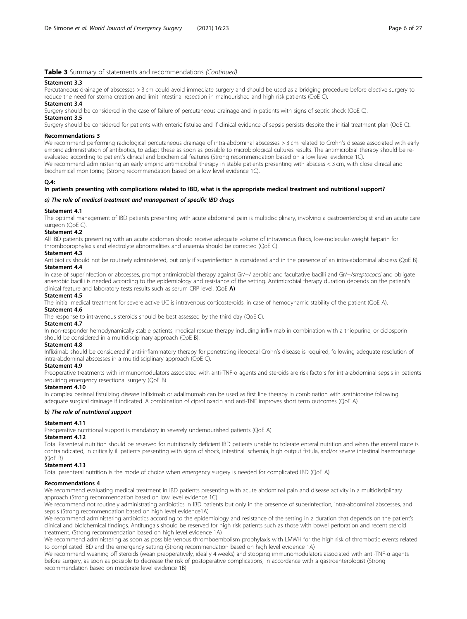#### Statement 3.3

Percutaneous drainage of abscesses > 3 cm could avoid immediate surgery and should be used as a bridging procedure before elective surgery to reduce the need for stoma creation and limit intestinal resection in malnourished and high risk patients (QoE C).

#### Statement 3.4

Surgery should be considered in the case of failure of percutaneous drainage and in patients with signs of septic shock (QoE C). Statement 3.5

Surgery should be considered for patients with enteric fistulae and if clinical evidence of sepsis persists despite the initial treatment plan (QoE C).

#### Recommendations 3

We recommend performing radiological percutaneous drainage of intra-abdominal abscesses > 3 cm related to Crohn's disease associated with early empiric administration of antibiotics, to adapt these as soon as possible to microbiological cultures results. The antimicrobial therapy should be reevaluated according to patient's clinical and biochemical features (Strong recommendation based on a low level evidence 1C). We recommend administering an early empiric antimicrobial therapy in stable patients presenting with abscess < 3 cm, with close clinical and biochemical monitoring (Strong recommendation based on a low level evidence 1C).

#### $O.4:$

#### In patients presenting with complications related to IBD, what is the appropriate medical treatment and nutritional support?

#### a) The role of medical treatment and management of specific IBD drugs

#### Statement 4.1

The optimal management of IBD patients presenting with acute abdominal pain is multidisciplinary, involving a gastroenterologist and an acute care surgeon (QoE C).

#### Statement 4.2

All IBD patients presenting with an acute abdomen should receive adequate volume of intravenous fluids, low-molecular-weight heparin for thromboprophylaxis and electrolyte abnormalities and anaemia should be corrected (QoE C).

#### Statement 4.3

Antibiotics should not be routinely administered, but only if superinfection is considered and in the presence of an intra-abdominal abscess (QoE B). Statement 44

In case of superinfection or abscesses, prompt antimicrobial therapy against Gr/−/ aerobic and facultative bacilli and Gr/+/streptococci and obligate anaerobic bacilli is needed according to the epidemiology and resistance of the setting. Antimicrobial therapy duration depends on the patient's clinical feature and laboratory tests results such as serum CRP level. (QoE A)

#### Statement 4.5

The initial medical treatment for severe active UC is intravenous corticosteroids, in case of hemodynamic stability of the patient (QoE A).

#### Statement 4.6

The response to intravenous steroids should be best assessed by the third day (QoE C).

#### Statement 4.7

In non-responder hemodynamically stable patients, medical rescue therapy including infliximab in combination with a thiopurine, or ciclosporin should be considered in a multidisciplinary approach (QoE B).

# Statement 4.8

Infliximab should be considered if anti-inflammatory therapy for penetrating ileocecal Crohn's disease is required, following adequate resolution of intra-abdominal abscesses in a multidisciplinary approach (QoE C).

#### Statement 4.9

Preoperative treatments with immunomodulators associated with anti-TNF-α agents and steroids are risk factors for intra-abdominal sepsis in patients requiring emergency resectional surgery (QoE B)

#### Statement 4.10

In complex perianal fistulizing disease infliximab or adalimumab can be used as first line therapy in combination with azathioprine following adequate surgical drainage if indicated. A combination of ciprofloxacin and anti-TNF improves short term outcomes (QoE A).

#### b) The role of nutritional support

#### Statement 4.11

Preoperative nutritional support is mandatory in severely undernourished patients (QoE A)

#### Statement 4.12

Total Parenteral nutrition should be reserved for nutritionally deficient IBD patients unable to tolerate enteral nutrition and when the enteral route is contraindicated, in critically ill patients presenting with signs of shock, intestinal ischemia, high output fistula, and/or severe intestinal haemorrhage (QoE B)

#### Statement 4.13

Total parenteral nutrition is the mode of choice when emergency surgery is needed for complicated IBD (QoE A)

#### Recommendations 4

We recommend evaluating medical treatment in IBD patients presenting with acute abdominal pain and disease activity in a multidisciplinary approach (Strong recommendation based on low level evidence 1C).

We recommend not routinely administrating antibiotics in IBD patients but only in the presence of superinfection, intra-abdominal abscesses, and sepsis (Strong recommendation based on high level evidence1A)

We recommend administering antibiotics according to the epidemiology and resistance of the setting in a duration that depends on the patient's clinical and biolchemical findings. Antifungals should be reserved for high risk patients such as those with bowel perforation and recent steroid treatment. (Strong recommendation based on high level evidence 1A)

We recommend administering as soon as possible venous thromboembolism prophylaxis with LMWH for the high risk of thrombotic events related to complicated IBD and the emergency setting (Strong recommendation based on high level evidence 1A)

We recommend weaning off steroids (wean preoperatively, ideally 4 weeks) and stopping immunomodulators associated with anti-TNF-α agents before surgery, as soon as possible to decrease the risk of postoperative complications, in accordance with a gastroenterologist (Strong recommendation based on moderate level evidence 1B)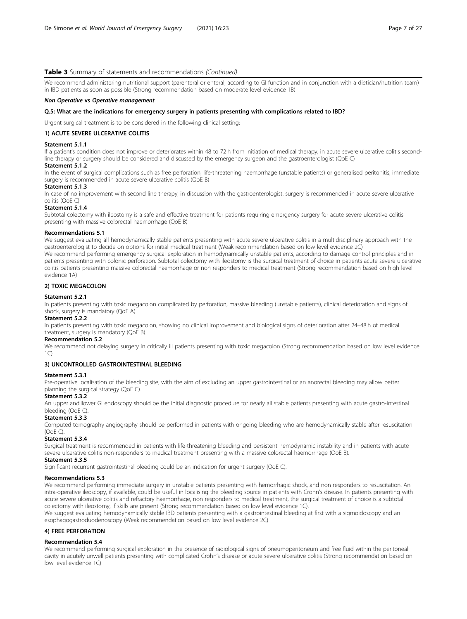We recommend administering nutritional support (parenteral or enteral, according to GI function and in conjunction with a dietician/nutrition team) in IBD patients as soon as possible (Strong recommendation based on moderate level evidence 1B)

#### Non Operative vs Operative management

#### Q.5: What are the indications for emergency surgery in patients presenting with complications related to IBD?

Urgent surgical treatment is to be considered in the following clinical setting:

#### 1) ACUTE SEVERE ULCERATIVE COLITIS

#### Statement 5.1.1

If a patient's condition does not improve or deteriorates within 48 to 72 h from initiation of medical therapy, in acute severe ulcerative colitis secondline therapy or surgery should be considered and discussed by the emergency surgeon and the gastroenterologist (QoE C)

#### Statement 5.1.2

In the event of surgical complications such as free perforation, life-threatening haemorrhage (unstable patients) or generalised peritonitis, immediate surgery is recommended in acute severe ulcerative colitis (QoE B)

#### Statement 5.1.3

In case of no improvement with second line therapy, in discussion with the gastroenterologist, surgery is recommended in acute severe ulcerative colitis (QoE C)

#### Statement 5.1.4

Subtotal colectomy with ileostomy is a safe and effective treatment for patients requiring emergency surgery for acute severe ulcerative colitis presenting with massive colorectal haemorrhage (QoE B)

#### Recommendations 5.1

We suggest evaluating all hemodynamically stable patients presenting with acute severe ulcerative colitis in a multidisciplinary approach with the gastroenterologist to decide on options for initial medical treatment (Weak recommendation based on low level evidence 2C) We recommend performing emergency surgical exploration in hemodynamically unstable patients, according to damage control principles and in patients presenting with colonic perforation. Subtotal colectomy with ileostomy is the surgical treatment of choice in patients acute severe ulcerative colitis patients presenting massive colorectal haemorrhage or non responders to medical treatment (Strong recommendation based on high level evidence 1A)

# 2) TOXIC MEGACOLON

#### Statement 5.2.1

In patients presenting with toxic megacolon complicated by perforation, massive bleeding (unstable patients), clinical deterioration and signs of shock, surgery is mandatory (OoE A).

#### Statement 5.2.2

In patients presenting with toxic megacolon, showing no clinical improvement and biological signs of deterioration after 24–48 h of medical treatment, surgery is mandatory (QoE B).

#### Recommendation 5.2

We recommend not delaying surgery in critically ill patients presenting with toxic megacolon (Strong recommendation based on low level evidence  $1<sup>C</sup>$ 

# 3) UNCONTROLLED GASTROINTESTINAL BLEEDING

#### Statement 5.3.1

Pre-operative localisation of the bleeding site, with the aim of excluding an upper gastrointestinal or an anorectal bleeding may allow better planning the surgical strategy (QoE C).

# Statement 5.3.2

An upper and lower GI endoscopy should be the initial diagnostic procedure for nearly all stable patients presenting with acute gastro-intestinal bleeding (QoE C).

# Statement 5.3.3

Computed tomography angiography should be performed in patients with ongoing bleeding who are hemodynamically stable after resuscitation (QoE C).

#### Statement 5.3.4

Surgical treatment is recommended in patients with life-threatening bleeding and persistent hemodynamic instability and in patients with acute severe ulcerative colitis non-responders to medical treatment presenting with a massive colorectal haemorrhage (QoE B).

# Statement 5.3.5

Significant recurrent gastrointestinal bleeding could be an indication for urgent surgery (QoE C).

#### Recommendations 5.3

We recommend performing immediate surgery in unstable patients presenting with hemorrhagic shock, and non responders to resuscitation. An intra-operative ileoscopy, if available, could be useful in localising the bleeding source in patients with Crohn's disease. In patients presenting with acute severe ulcerative colitis and refractory haemorrhage, non responders to medical treatment, the surgical treatment of choice is a subtotal colectomy with ileostomy, if skills are present (Strong recommendation based on low level evidence 1C).

We suggest evaluating hemodynamically stable IBD patients presenting with a gastrointestinal bleeding at first with a sigmoidoscopy and an esophagogastroduodenoscopy (Weak recommendation based on low level evidence 2C)

### 4) FREE PERFORATION

#### Recommendation 5.4

We recommend performing surgical exploration in the presence of radiological signs of pneumoperitoneum and free fluid within the peritoneal cavity in acutely unwell patients presenting with complicated Crohn's disease or acute severe ulcerative colitis (Strong recommendation based on low level evidence 1C)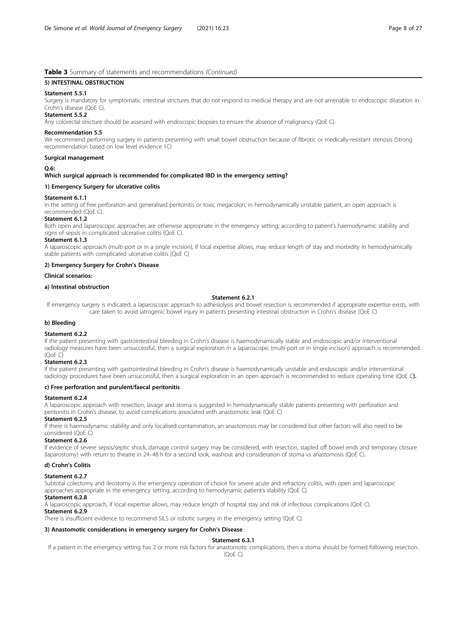# 5) INTESTINAL OBSTRUCTION

#### Statement 5.5.1

Surgery is mandatory for symptomatic intestinal strictures that do not respond to medical therapy and are not amenable to endoscopic dilatation in Crohn's disease (QoE C).

#### Statement 5.5.2

Any colorectal stricture should be assessed with endoscopic biopsies to ensure the absence of malignancy (QoE C).

#### Recommendation 5.5

We recommend performing surgery in patients presenting with small bowel obstruction because of fibrotic or medically-resistant stenosis (Strong recommendation based on low level evidence 1C)

#### Surgical management

#### Q.6:

#### Which surgical approach is recommended for complicated IBD in the emergency setting?

#### 1) Emergency Surgery for ulcerative colitis

#### Statement 6.1.1

In the setting of free perforation and generalised peritonitis or toxic megacolon, in hemodynamically unstable patient, an open approach is recommended (QoE C).

#### Statement 6.1.2

Both open and laparoscopic approaches are otherwise appropriate in the emergency setting, according to patient's haemodynamic stability and signs of sepsis in complicated ulcerative colitis (QoE C).

#### Statement 6.1.3

A laparoscopic approach (multi-port or in a single incision), if local expertise allows, may reduce length of stay and morbidity in hemodynamically stable patients with complicated ulcerative colitis (QoE C)

#### 2) Emergency Surgery for Crohn's Disease

#### Clinical scenarios:

#### a) Intestinal obstruction

#### Statement 6.2.1

If emergency surgery is indicated, a laparoscopic approach to adhesiolysis and bowel resection is recommended if appropriate expertise exists, with care taken to avoid iatrogenic bowel injury in patients presenting intestinal obstruction in Crohn's disease (QoE C)

#### b) Bleeding

#### Statement 6.2.2

If the patient presenting with gastrointestinal bleeding in Crohn's disease is haemodynamically stable and endoscopic and/or interventional radiology measures have been unsuccessful, then a surgical exploration in a laparoscopic (multi-port or in single incision) approach is recommended. (QoE C)

#### Statement 6.2.3

If the patient presenting with gastrointestinal bleeding in Crohn's disease is haemodynamically unstable and endoscopic and/or interventional radiology procedures have been unsuccessful, then a surgical exploration in an open approach is recommended to reduce operating time (QoE C).

# c) Free perforation and purulent/faecal peritonitis

#### Statement 6.2.4

A laparoscopic approach with resection, lavage and stoma is suggested in hemodynamically stable patients presenting with perforation and peritonitis in Crohn's disease, to avoid complications associated with anastomotic leak (QoE C)

#### Statement 6.2.5

If there is haemodynamic stability and only localised contamination, an anastomosis may be considered but other factors will also need to be considered (QoE C)

#### Statement 6.2.6

If evidence of severe sepsis/septic shock, damage control surgery may be considered, with resection, stapled off bowel ends and temporary closure (laparostomy) with return to theatre in 24–48 h for a second look, washout and consideration of stoma vs anastomosis (QoE C).

#### d) Crohn's Colitis

#### Statement 6.2.7

Subtotal colectomy and ileostomy is the emergency operation of choice for severe acute and refractory colitis, with open and laparoscopic approaches appropriate in the emergency setting, according to hemodynamic patient's stability (QoE C).

# Statement 6.2.8

A laparoscopic approach, if local expertise allows, may reduce length of hospital stay and risk of infectious complications (QoE C).

#### Statement 6.2.9

There is insufficient evidence to recommend SILS or robotic surgery in the emergency setting (QoE C).

# 3) Anastomotic considerations in emergency surgery for Crohn's Disease

# Statement 6.3.1

If a patient in the emergency setting has 2 or more risk factors for anastomotic complications, then a stoma should be formed following resection.

(QoE C)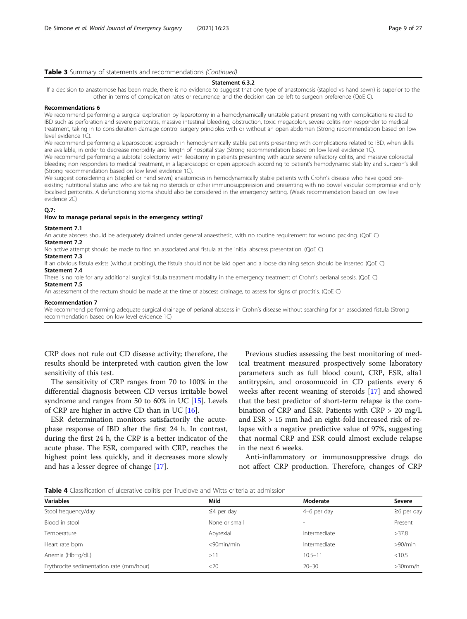#### Statement 6.3.2

<span id="page-8-0"></span>If a decision to anastomose has been made, there is no evidence to suggest that one type of anastomosis (stapled vs hand sewn) is superior to the other in terms of complication rates or recurrence, and the decision can be left to surgeon preference (QoE C).

#### Recommendations 6

We recommend performing a surgical exploration by laparotomy in a hemodynamically unstable patient presenting with complications related to IBD such as perforation and severe peritonitis, massive intestinal bleeding, obstruction, toxic megacolon, severe colitis non responder to medical treatment, taking in to consideration damage control surgery principles with or without an open abdomen (Strong recommendation based on low level evidence 1C).

We recommend performing a laparoscopic approach in hemodynamically stable patients presenting with complications related to IBD, when skills are available, in order to decrease morbidity and length of hospital stay (Strong recommendation based on low level evidence 1C). We recommend performing a subtotal colectomy with ileostomy in patients presenting with acute severe refractory colitis, and massive colorectal bleeding non responders to medical treatment, in a laparoscopic or open approach according to patient's hemodynamic stability and surgeon's skill (Strong recommendation based on low level evidence 1C).

We suggest considering an (stapled or hand sewn) anastomosis in hemodynamically stable patients with Crohn's disease who have good preexisting nutritional status and who are taking no steroids or other immunosuppression and presenting with no bowel vascular compromise and only localised peritonitis. A defunctioning stoma should also be considered in the emergency setting. (Weak recommendation based on low level evidence 2C)

#### Q.7:

#### How to manage perianal sepsis in the emergency setting?

#### Statement 7.1

An acute abscess should be adequately drained under general anaesthetic, with no routine requirement for wound packing. (QoE C) Statement 7.2

No active attempt should be made to find an associated anal fistula at the initial abscess presentation. (QoE C)

#### Statement 7.3

If an obvious fistula exists (without probing), the fistula should not be laid open and a loose draining seton should be inserted (QoE C) Statement 7.4

There is no role for any additional surgical fistula treatment modality in the emergency treatment of Crohn's perianal sepsis. (QoE C) Statement 7.5

An assessment of the rectum should be made at the time of abscess drainage, to assess for signs of proctitis. (QoE C)

#### Recommendation 7

We recommend performing adequate surgical drainage of perianal abscess in Crohn's disease without searching for an associated fistula (Strong recommendation based on low level evidence 1C)

CRP does not rule out CD disease activity; therefore, the results should be interpreted with caution given the low sensitivity of this test.

The sensitivity of CRP ranges from 70 to 100% in the differential diagnosis between CD versus irritable bowel syndrome and ranges from 50 to 60% in UC [[15\]](#page-24-0). Levels of CRP are higher in active CD than in UC  $[16]$ .

ESR determination monitors satisfactorily the acutephase response of IBD after the first 24 h. In contrast, during the first 24 h, the CRP is a better indicator of the acute phase. The ESR, compared with CRP, reaches the highest point less quickly, and it decreases more slowly and has a lesser degree of change [\[17](#page-24-0)].

Previous studies assessing the best monitoring of medical treatment measured prospectively some laboratory parameters such as full blood count, CRP, ESR, alfa1 antitrypsin, and orosomucoid in CD patients every 6 weeks after recent weaning of steroids [\[17](#page-24-0)] and showed that the best predictor of short-term relapse is the combination of CRP and ESR. Patients with CRP > 20 mg/L and ESR > 15 mm had an eight-fold increased risk of relapse with a negative predictive value of 97%, suggesting that normal CRP and ESR could almost exclude relapse in the next 6 weeks.

Anti-inflammatory or immunosuppressive drugs do not affect CRP production. Therefore, changes of CRP

Table 4 Classification of ulcerative colitis per Truelove and Witts criteria at admission

| <b>Variables</b>                         | Mild             | Moderate     | Severe           |
|------------------------------------------|------------------|--------------|------------------|
| Stool frequency/day                      | $\leq$ 4 per day | 4-6 per day  | $\geq$ 6 per day |
| Blood in stool                           | None or small    |              | Present          |
| Temperature                              | Apyrexial        | Intermediate | >37.8            |
| Heart rate bpm                           | $<$ 90 $min/min$ | Intermediate | >90/min          |
| Anemia (Hb=g/dL)                         | >11              | $10.5 - 11$  | < 10.5           |
| Erythrocite sedimentation rate (mm/hour) | <20              | $20 - 30$    | $>30$ mm/h       |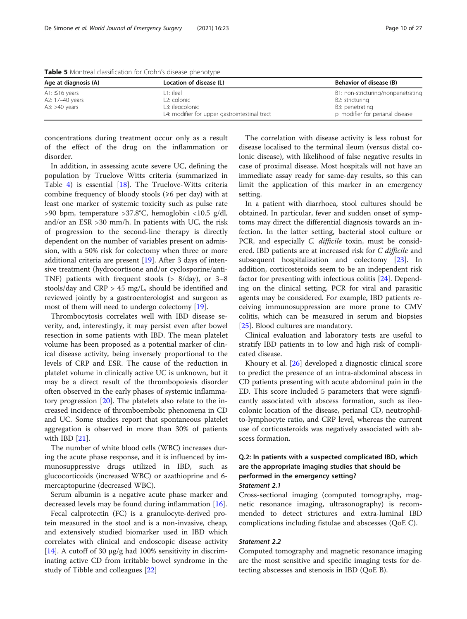| Age at diagnosis (A) | Location of disease (L)                       | Behavior of disease (B)            |  |
|----------------------|-----------------------------------------------|------------------------------------|--|
| A1: $\leq$ 16 years  | ı 1: ileal                                    | B1: non-stricturing/nonpenetrating |  |
| A2: 17-40 years      | L <sub>2</sub> : colonic                      | B2: stricturing                    |  |
| A3: $>40$ years      | 1.3: ileocolonic                              | B3: penetrating                    |  |
|                      | L4: modifier for upper gastrointestinal tract | p: modifier for perianal disease   |  |

<span id="page-9-0"></span>Table 5 Montreal classification for Crohn's disease phenotype

concentrations during treatment occur only as a result of the effect of the drug on the inflammation or disorder.

In addition, in assessing acute severe UC, defining the population by Truelove Witts criteria (summarized in Table [4\)](#page-8-0) is essential [\[18](#page-24-0)]. The Truelove-Witts criteria combine frequency of bloody stools  $(\geq 6$  per day) with at least one marker of systemic toxicity such as pulse rate >90 bpm, temperature >37.8°C, hemoglobin <10.5 g/dl, and/or an ESR >30 mm/h. In patients with UC, the risk of progression to the second-line therapy is directly dependent on the number of variables present on admission, with a 50% risk for colectomy when three or more additional criteria are present [[19\]](#page-24-0). After 3 days of intensive treatment (hydrocortisone and/or cyclosporine/anti-TNF) patients with frequent stools (> 8/day), or 3–8 stools/day and CRP > 45 mg/L, should be identified and reviewed jointly by a gastroenterologist and surgeon as most of them will need to undergo colectomy [\[19](#page-24-0)].

Thrombocytosis correlates well with IBD disease severity, and, interestingly, it may persist even after bowel resection in some patients with IBD. The mean platelet volume has been proposed as a potential marker of clinical disease activity, being inversely proportional to the levels of CRP and ESR. The cause of the reduction in platelet volume in clinically active UC is unknown, but it may be a direct result of the thrombopoiesis disorder often observed in the early phases of systemic inflammatory progression [[20](#page-24-0)]. The platelets also relate to the increased incidence of thromboembolic phenomena in CD and UC. Some studies report that spontaneous platelet aggregation is observed in more than 30% of patients with IBD [[21\]](#page-24-0).

The number of white blood cells (WBC) increases during the acute phase response, and it is influenced by immunosuppressive drugs utilized in IBD, such as glucocorticoids (increased WBC) or azathioprine and 6 mercaptopurine (decreased WBC).

Serum albumin is a negative acute phase marker and decreased levels may be found during inflammation [[16](#page-24-0)].

Fecal calprotectin (FC) is a granulocyte-derived protein measured in the stool and is a non-invasive, cheap, and extensively studied biomarker used in IBD which correlates with clinical and endoscopic disease activity [[14\]](#page-24-0). A cutoff of 30  $\mu$ g/g had 100% sensitivity in discriminating active CD from irritable bowel syndrome in the study of Tibble and colleagues [\[22](#page-24-0)]

The correlation with disease activity is less robust for disease localised to the terminal ileum (versus distal colonic disease), with likelihood of false negative results in case of proximal disease. Most hospitals will not have an immediate assay ready for same-day results, so this can limit the application of this marker in an emergency setting.

In a patient with diarrhoea, stool cultures should be obtained. In particular, fever and sudden onset of symptoms may direct the differential diagnosis towards an infection. In the latter setting, bacterial stool culture or PCR, and especially C. difficile toxin, must be considered. IBD patients are at increased risk for C difficile and subsequent hospitalization and colectomy [[23\]](#page-24-0). In addition, corticosteroids seem to be an independent risk factor for presenting with infectious colitis [\[24\]](#page-24-0). Depending on the clinical setting, PCR for viral and parasitic agents may be considered. For example, IBD patients receiving immunosuppression are more prone to CMV colitis, which can be measured in serum and biopsies [[25\]](#page-24-0). Blood cultures are mandatory.

Clinical evaluation and laboratory tests are useful to stratify IBD patients in to low and high risk of complicated disease.

Khoury et al. [[26](#page-24-0)] developed a diagnostic clinical score to predict the presence of an intra-abdominal abscess in CD patients presenting with acute abdominal pain in the ED. This score included 5 parameters that were significantly associated with abscess formation, such as ileocolonic location of the disease, perianal CD, neutrophilto-lymphocyte ratio, and CRP level, whereas the current use of corticosteroids was negatively associated with abscess formation.

# Q.2: In patients with a suspected complicated IBD, which are the appropriate imaging studies that should be performed in the emergency setting?

# Statement 2.1

Cross-sectional imaging (computed tomography, magnetic resonance imaging, ultrasonography) is recommended to detect strictures and extra-luminal IBD complications including fistulae and abscesses (QoE C).

# Statement 2.2

Computed tomography and magnetic resonance imaging are the most sensitive and specific imaging tests for detecting abscesses and stenosis in IBD (QoE B).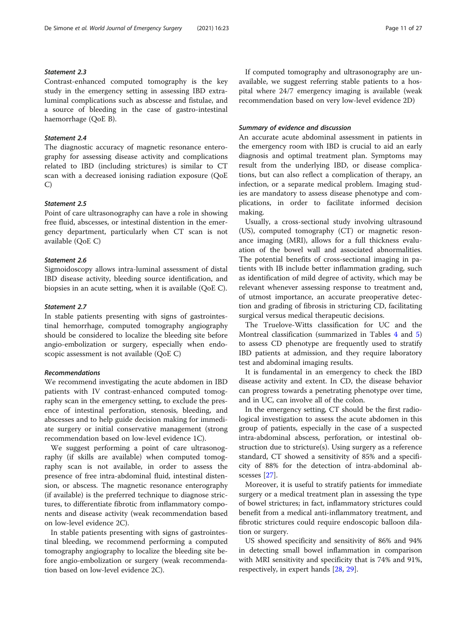# Statement 2.3

Contrast-enhanced computed tomography is the key study in the emergency setting in assessing IBD extraluminal complications such as abscesse and fistulae, and a source of bleeding in the case of gastro-intestinal haemorrhage (QoE B).

# Statement 2.4

The diagnostic accuracy of magnetic resonance enterography for assessing disease activity and complications related to IBD (including strictures) is similar to CT scan with a decreased ionising radiation exposure (QoE C)

# Statement 2.5

Point of care ultrasonography can have a role in showing free fluid, abscesses, or intestinal distention in the emergency department, particularly when CT scan is not available (QoE C)

# Statement 2.6

Sigmoidoscopy allows intra-luminal assessment of distal IBD disease activity, bleeding source identification, and biopsies in an acute setting, when it is available (QoE C).

#### Statement 2.7

In stable patients presenting with signs of gastrointestinal hemorrhage, computed tomography angiography should be considered to localize the bleeding site before angio-embolization or surgery, especially when endoscopic assessment is not available (QoE C)

#### Recommendations

We recommend investigating the acute abdomen in IBD patients with IV contrast-enhanced computed tomography scan in the emergency setting, to exclude the presence of intestinal perforation, stenosis, bleeding, and abscesses and to help guide decision making for immediate surgery or initial conservative management (strong recommendation based on low-level evidence 1C).

We suggest performing a point of care ultrasonography (if skills are available) when computed tomography scan is not available, in order to assess the presence of free intra-abdominal fluid, intestinal distension, or abscess. The magnetic resonance enterography (if available) is the preferred technique to diagnose strictures, to differentiate fibrotic from inflammatory components and disease activity (weak recommendation based on low-level evidence 2C).

In stable patients presenting with signs of gastrointestinal bleeding, we recommend performing a computed tomography angiography to localize the bleeding site before angio-embolization or surgery (weak recommendation based on low-level evidence 2C).

If computed tomography and ultrasonography are unavailable, we suggest referring stable patients to a hospital where 24/7 emergency imaging is available (weak recommendation based on very low-level evidence 2D)

#### Summary of evidence and discussion

An accurate acute abdominal assessment in patients in the emergency room with IBD is crucial to aid an early diagnosis and optimal treatment plan. Symptoms may result from the underlying IBD, or disease complications, but can also reflect a complication of therapy, an infection, or a separate medical problem. Imaging studies are mandatory to assess disease phenotype and complications, in order to facilitate informed decision making.

Usually, a cross-sectional study involving ultrasound (US), computed tomography (CT) or magnetic resonance imaging (MRI), allows for a full thickness evaluation of the bowel wall and associated abnormalities. The potential benefits of cross-sectional imaging in patients with IB include better inflammation grading, such as identification of mild degree of activity, which may be relevant whenever assessing response to treatment and, of utmost importance, an accurate preoperative detection and grading of fibrosis in stricturing CD, facilitating surgical versus medical therapeutic decisions.

The Truelove-Witts classification for UC and the Montreal classification (summarized in Tables [4](#page-8-0) and [5](#page-9-0)) to assess CD phenotype are frequently used to stratify IBD patients at admission, and they require laboratory test and abdominal imaging results.

It is fundamental in an emergency to check the IBD disease activity and extent. In CD, the disease behavior can progress towards a penetrating phenotype over time, and in UC, can involve all of the colon.

In the emergency setting, CT should be the first radiological investigation to assess the acute abdomen in this group of patients, especially in the case of a suspected intra-abdominal abscess, perforation, or intestinal obstruction due to stricture(s). Using surgery as a reference standard, CT showed a sensitivity of 85% and a specificity of 88% for the detection of intra-abdominal abscesses [\[27](#page-24-0)].

Moreover, it is useful to stratify patients for immediate surgery or a medical treatment plan in assessing the type of bowel strictures; in fact, inflammatory strictures could benefit from a medical anti-inflammatory treatment, and fibrotic strictures could require endoscopic balloon dilation or surgery.

US showed specificity and sensitivity of 86% and 94% in detecting small bowel inflammation in comparison with MRI sensitivity and specificity that is 74% and 91%, respectively, in expert hands [[28,](#page-24-0) [29\]](#page-24-0).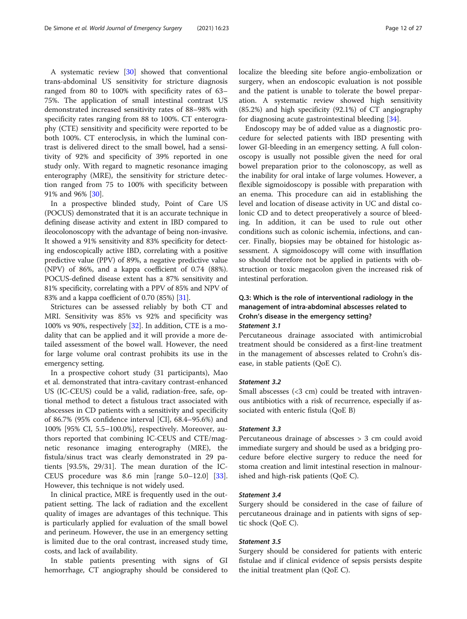A systematic review [[30\]](#page-24-0) showed that conventional trans-abdominal US sensitivity for stricture diagnosis ranged from 80 to 100% with specificity rates of 63– 75%. The application of small intestinal contrast US demonstrated increased sensitivity rates of 88–98% with specificity rates ranging from 88 to 100%. CT enterography (CTE) sensitivity and specificity were reported to be both 100%. CT enteroclysis, in which the luminal contrast is delivered direct to the small bowel, had a sensitivity of 92% and specificity of 39% reported in one study only. With regard to magnetic resonance imaging enterography (MRE), the sensitivity for stricture detection ranged from 75 to 100% with specificity between 91% and 96% [\[30\]](#page-24-0).

In a prospective blinded study, Point of Care US (POCUS) demonstrated that it is an accurate technique in defining disease activity and extent in IBD compared to ileocolonoscopy with the advantage of being non-invasive. It showed a 91% sensitivity and 83% specificity for detecting endoscopically active IBD, correlating with a positive predictive value (PPV) of 89%, a negative predictive value (NPV) of 86%, and a kappa coefficient of 0.74 (88%). POCUS-defined disease extent has a 87% sensitivity and 81% specificity, correlating with a PPV of 85% and NPV of 83% and a kappa coefficient of 0.70 (85%) [\[31\]](#page-24-0).

Strictures can be assessed reliably by both CT and MRI. Sensitivity was 85% vs 92% and specificity was 100% vs 90%, respectively [\[32](#page-24-0)]. In addition, CTE is a modality that can be applied and it will provide a more detailed assessment of the bowel wall. However, the need for large volume oral contrast prohibits its use in the emergency setting.

In a prospective cohort study (31 participants), Mao et al. demonstrated that intra-cavitary contrast-enhanced US (IC-CEUS) could be a valid, radiation-free, safe, optional method to detect a fistulous tract associated with abscesses in CD patients with a sensitivity and specificity of 86.7% (95% confidence interval [CI], 68.4–95.6%) and 100% [95% CI, 5.5–100.0%], respectively. Moreover, authors reported that combining IC-CEUS and CTE/magnetic resonance imaging enterography (MRE), the fistula/sinus tract was clearly demonstrated in 29 patients [93.5%, 29/31]. The mean duration of the IC-CEUS procedure was 8.6 min [range 5.0–12.0] [\[33](#page-24-0)]. However, this technique is not widely used.

In clinical practice, MRE is frequently used in the outpatient setting. The lack of radiation and the excellent quality of images are advantages of this technique. This is particularly applied for evaluation of the small bowel and perineum. However, the use in an emergency setting is limited due to the oral contrast, increased study time, costs, and lack of availability.

In stable patients presenting with signs of GI hemorrhage, CT angiography should be considered to localize the bleeding site before angio-embolization or surgery, when an endoscopic evaluation is not possible and the patient is unable to tolerate the bowel preparation. A systematic review showed high sensitivity (85.2%) and high specificity (92.1%) of CT angiography for diagnosing acute gastrointestinal bleeding [\[34](#page-24-0)].

Endoscopy may be of added value as a diagnostic procedure for selected patients with IBD presenting with lower GI-bleeding in an emergency setting. A full colonoscopy is usually not possible given the need for oral bowel preparation prior to the colonoscopy, as well as the inability for oral intake of large volumes. However, a flexible sigmoidoscopy is possible with preparation with an enema. This procedure can aid in establishing the level and location of disease activity in UC and distal colonic CD and to detect preoperatively a source of bleeding. In addition, it can be used to rule out other conditions such as colonic ischemia, infections, and cancer. Finally, biopsies may be obtained for histologic assessment. A sigmoidoscopy will come with insufflation so should therefore not be applied in patients with obstruction or toxic megacolon given the increased risk of intestinal perforation.

# Q.3: Which is the role of interventional radiology in the management of intra-abdominal abscesses related to Crohn's disease in the emergency setting? Statement 3.1

Percutaneous drainage associated with antimicrobial treatment should be considered as a first-line treatment in the management of abscesses related to Crohn's disease, in stable patients (QoE C).

# Statement 3.2

Small abscesses (<3 cm) could be treated with intravenous antibiotics with a risk of recurrence, especially if associated with enteric fistula (QoE B)

# Statement 3.3

Percutaneous drainage of abscesses > 3 cm could avoid immediate surgery and should be used as a bridging procedure before elective surgery to reduce the need for stoma creation and limit intestinal resection in malnourished and high-risk patients (QoE C).

# Statement 3.4

Surgery should be considered in the case of failure of percutaneous drainage and in patients with signs of septic shock (QoE C).

# Statement 3.5

Surgery should be considered for patients with enteric fistulae and if clinical evidence of sepsis persists despite the initial treatment plan (QoE C).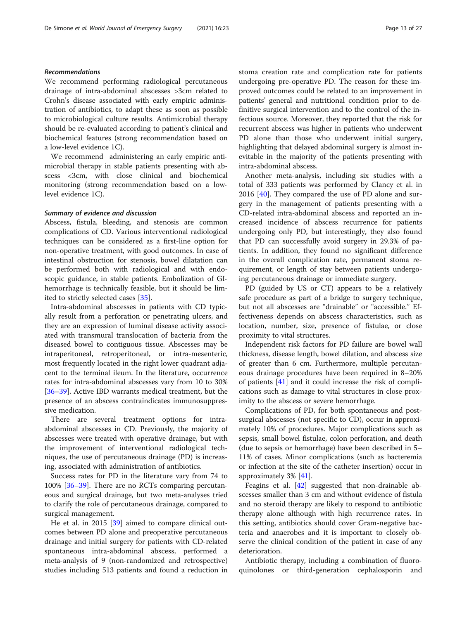# Recommendations

We recommend performing radiological percutaneous drainage of intra-abdominal abscesses >3cm related to Crohn's disease associated with early empiric administration of antibiotics, to adapt these as soon as possible to microbiological culture results. Antimicrobial therapy should be re-evaluated according to patient's clinical and biochemical features (strong recommendation based on a low-level evidence 1C).

We recommend administering an early empiric antimicrobial therapy in stable patients presenting with abscess <3cm, with close clinical and biochemical monitoring (strong recommendation based on a lowlevel evidence 1C).

# Summary of evidence and discussion

Abscess, fistula, bleeding, and stenosis are common complications of CD. Various interventional radiological techniques can be considered as a first-line option for non-operative treatment, with good outcomes. In case of intestinal obstruction for stenosis, bowel dilatation can be performed both with radiological and with endoscopic guidance, in stable patients. Embolization of GIhemorrhage is technically feasible, but it should be limited to strictly selected cases [[35\]](#page-24-0).

Intra-abdominal abscesses in patients with CD typically result from a perforation or penetrating ulcers, and they are an expression of luminal disease activity associated with transmural translocation of bacteria from the diseased bowel to contiguous tissue. Abscesses may be intraperitoneal, retroperitoneal, or intra-mesenteric, most frequently located in the right lower quadrant adjacent to the terminal ileum. In the literature, occurrence rates for intra-abdominal abscesses vary from 10 to 30% [[36](#page-24-0)–[39](#page-24-0)]. Active IBD warrants medical treatment, but the presence of an abscess contraindicates immunosuppressive medication.

There are several treatment options for intraabdominal abscesses in CD. Previously, the majority of abscesses were treated with operative drainage, but with the improvement of interventional radiological techniques, the use of percutaneous drainage (PD) is increasing, associated with administration of antibiotics.

Success rates for PD in the literature vary from 74 to 100% [[36](#page-24-0)–[39\]](#page-24-0). There are no RCTs comparing percutaneous and surgical drainage, but two meta-analyses tried to clarify the role of percutaneous drainage, compared to surgical management.

He et al. in 2015 [[39](#page-24-0)] aimed to compare clinical outcomes between PD alone and preoperative percutaneous drainage and initial surgery for patients with CD-related spontaneous intra-abdominal abscess, performed a meta-analysis of 9 (non-randomized and retrospective) studies including 513 patients and found a reduction in stoma creation rate and complication rate for patients undergoing pre-operative PD. The reason for these improved outcomes could be related to an improvement in patients' general and nutritional condition prior to definitive surgical intervention and to the control of the infectious source. Moreover, they reported that the risk for recurrent abscess was higher in patients who underwent PD alone than those who underwent initial surgery, highlighting that delayed abdominal surgery is almost inevitable in the majority of the patients presenting with intra-abdominal abscess.

Another meta-analysis, including six studies with a total of 333 patients was performed by Clancy et al. in 2016 [[40\]](#page-24-0). They compared the use of PD alone and surgery in the management of patients presenting with a CD-related intra-abdominal abscess and reported an increased incidence of abscess recurrence for patients undergoing only PD, but interestingly, they also found that PD can successfully avoid surgery in 29.3% of patients. In addition, they found no significant difference in the overall complication rate, permanent stoma requirement, or length of stay between patients undergoing percutaneous drainage or immediate surgery.

PD (guided by US or CT) appears to be a relatively safe procedure as part of a bridge to surgery technique, but not all abscesses are "drainable" or "accessible." Effectiveness depends on abscess characteristics, such as location, number, size, presence of fistulae, or close proximity to vital structures.

Independent risk factors for PD failure are bowel wall thickness, disease length, bowel dilation, and abscess size of greater than 6 cm. Furthermore, multiple percutaneous drainage procedures have been required in 8–20% of patients [[41\]](#page-24-0) and it could increase the risk of complications such as damage to vital structures in close proximity to the abscess or severe hemorrhage.

Complications of PD, for both spontaneous and postsurgical abscesses (not specific to CD), occur in approximately 10% of procedures. Major complications such as sepsis, small bowel fistulae, colon perforation, and death (due to sepsis or hemorrhage) have been described in 5– 11% of cases. Minor complications (such as bacteremia or infection at the site of the catheter insertion) occur in approximately 3% [[41](#page-24-0)].

Feagins et al. [[42\]](#page-24-0) suggested that non-drainable abscesses smaller than 3 cm and without evidence of fistula and no steroid therapy are likely to respond to antibiotic therapy alone although with high recurrence rates. In this setting, antibiotics should cover Gram-negative bacteria and anaerobes and it is important to closely observe the clinical condition of the patient in case of any deterioration.

Antibiotic therapy, including a combination of fluoroquinolones or third-generation cephalosporin and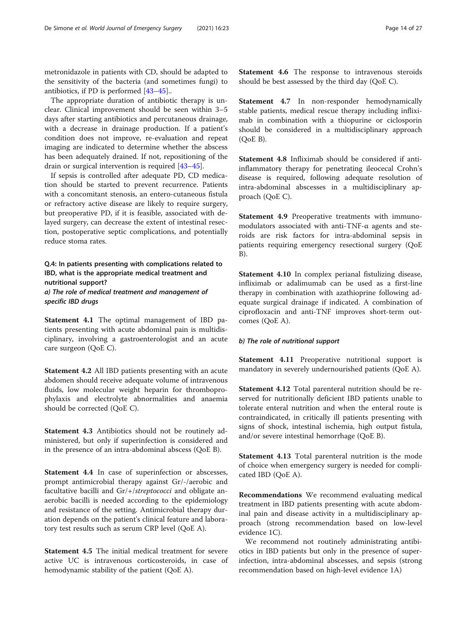metronidazole in patients with CD, should be adapted to the sensitivity of the bacteria (and sometimes fungi) to antibiotics, if PD is performed [\[43](#page-24-0)–[45\]](#page-24-0)..

The appropriate duration of antibiotic therapy is unclear. Clinical improvement should be seen within 3–5 days after starting antibiotics and percutaneous drainage, with a decrease in drainage production. If a patient's condition does not improve, re-evaluation and repeat imaging are indicated to determine whether the abscess has been adequately drained. If not, repositioning of the drain or surgical intervention is required [[43](#page-24-0)–[45](#page-24-0)].

If sepsis is controlled after adequate PD, CD medication should be started to prevent recurrence. Patients with a concomitant stenosis, an entero-cutaneous fistula or refractory active disease are likely to require surgery, but preoperative PD, if it is feasible, associated with delayed surgery, can decrease the extent of intestinal resection, postoperative septic complications, and potentially reduce stoma rates.

Q.4: In patients presenting with complications related to IBD, what is the appropriate medical treatment and nutritional support? a) The role of medical treatment and management of specific IBD drugs

Statement 4.1 The optimal management of IBD patients presenting with acute abdominal pain is multidisciplinary, involving a gastroenterologist and an acute care surgeon (QoE C).

Statement 4.2 All IBD patients presenting with an acute abdomen should receive adequate volume of intravenous fluids, low molecular weight heparin for thromboprophylaxis and electrolyte abnormalities and anaemia should be corrected (QoE C).

Statement 4.3 Antibiotics should not be routinely administered, but only if superinfection is considered and in the presence of an intra-abdominal abscess (QoE B).

Statement 4.4 In case of superinfection or abscesses, prompt antimicrobial therapy against Gr/-/aerobic and facultative bacilli and Gr/+/streptococci and obligate anaerobic bacilli is needed according to the epidemiology and resistance of the setting. Antimicrobial therapy duration depends on the patient's clinical feature and laboratory test results such as serum CRP level (QoE A).

Statement 4.5 The initial medical treatment for severe active UC is intravenous corticosteroids, in case of hemodynamic stability of the patient (QoE A).

Statement 4.6 The response to intravenous steroids should be best assessed by the third day (QoE C).

Statement 4.7 In non-responder hemodynamically stable patients, medical rescue therapy including infliximab in combination with a thiopurine or ciclosporin should be considered in a multidisciplinary approach (QoE B).

Statement 4.8 Infliximab should be considered if antiinflammatory therapy for penetrating ileocecal Crohn's disease is required, following adequate resolution of intra-abdominal abscesses in a multidisciplinary approach (QoE C).

Statement 4.9 Preoperative treatments with immunomodulators associated with anti-TNF-α agents and steroids are risk factors for intra-abdominal sepsis in patients requiring emergency resectional surgery (QoE B).

Statement 4.10 In complex perianal fistulizing disease, infliximab or adalimumab can be used as a first-line therapy in combination with azathioprine following adequate surgical drainage if indicated. A combination of ciprofloxacin and anti-TNF improves short-term outcomes (QoE A).

# b) The role of nutritional support

Statement 4.11 Preoperative nutritional support is mandatory in severely undernourished patients (QoE A).

Statement 4.12 Total parenteral nutrition should be reserved for nutritionally deficient IBD patients unable to tolerate enteral nutrition and when the enteral route is contraindicated, in critically ill patients presenting with signs of shock, intestinal ischemia, high output fistula, and/or severe intestinal hemorrhage (QoE B).

Statement 4.13 Total parenteral nutrition is the mode of choice when emergency surgery is needed for complicated IBD (QoE A).

Recommendations We recommend evaluating medical treatment in IBD patients presenting with acute abdominal pain and disease activity in a multidisciplinary approach (strong recommendation based on low-level evidence 1C).

We recommend not routinely administrating antibiotics in IBD patients but only in the presence of superinfection, intra-abdominal abscesses, and sepsis (strong recommendation based on high-level evidence 1A)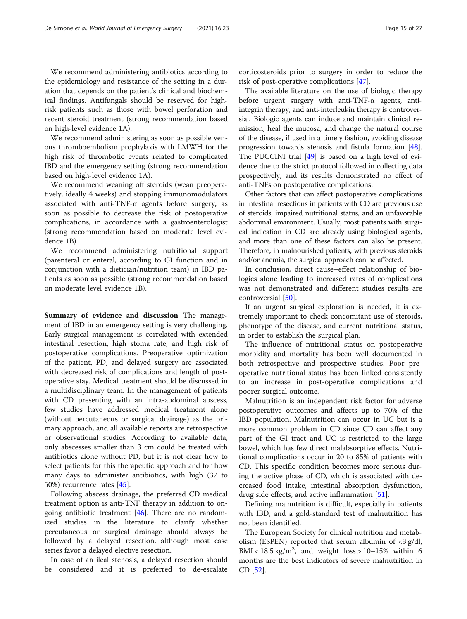We recommend administering antibiotics according to the epidemiology and resistance of the setting in a duration that depends on the patient's clinical and biochemical findings. Antifungals should be reserved for highrisk patients such as those with bowel perforation and recent steroid treatment (strong recommendation based on high-level evidence 1A).

We recommend administering as soon as possible venous thromboembolism prophylaxis with LMWH for the high risk of thrombotic events related to complicated IBD and the emergency setting (strong recommendation based on high-level evidence 1A).

We recommend weaning off steroids (wean preoperatively, ideally 4 weeks) and stopping immunomodulators associated with anti-TNF- $\alpha$  agents before surgery, as soon as possible to decrease the risk of postoperative complications, in accordance with a gastroenterologist (strong recommendation based on moderate level evidence 1B).

We recommend administering nutritional support (parenteral or enteral, according to GI function and in conjunction with a dietician/nutrition team) in IBD patients as soon as possible (strong recommendation based on moderate level evidence 1B).

Summary of evidence and discussion The management of IBD in an emergency setting is very challenging. Early surgical management is correlated with extended intestinal resection, high stoma rate, and high risk of postoperative complications. Preoperative optimization of the patient, PD, and delayed surgery are associated with decreased risk of complications and length of postoperative stay. Medical treatment should be discussed in a multidisciplinary team. In the management of patients with CD presenting with an intra-abdominal abscess, few studies have addressed medical treatment alone (without percutaneous or surgical drainage) as the primary approach, and all available reports are retrospective or observational studies. According to available data, only abscesses smaller than 3 cm could be treated with antibiotics alone without PD, but it is not clear how to select patients for this therapeutic approach and for how many days to administer antibiotics, with high (37 to 50%) recurrence rates [[45\]](#page-24-0).

Following abscess drainage, the preferred CD medical treatment option is anti-TNF therapy in addition to ongoing antibiotic treatment  $[46]$  $[46]$ . There are no randomized studies in the literature to clarify whether percutaneous or surgical drainage should always be followed by a delayed resection, although most case series favor a delayed elective resection.

In case of an ileal stenosis, a delayed resection should be considered and it is preferred to de-escalate corticosteroids prior to surgery in order to reduce the risk of post-operative complications [[47\]](#page-24-0).

The available literature on the use of biologic therapy before urgent surgery with anti-TNF- $\alpha$  agents, antiintegrin therapy, and anti-interleukin therapy is controversial. Biologic agents can induce and maintain clinical remission, heal the mucosa, and change the natural course of the disease, if used in a timely fashion, avoiding disease progression towards stenosis and fistula formation [[48](#page-24-0)]. The PUCCINI trial [\[49](#page-24-0)] is based on a high level of evidence due to the strict protocol followed in collecting data prospectively, and its results demonstrated no effect of anti-TNFs on postoperative complications.

Other factors that can affect postoperative complications in intestinal resections in patients with CD are previous use of steroids, impaired nutritional status, and an unfavorable abdominal environment. Usually, most patients with surgical indication in CD are already using biological agents, and more than one of these factors can also be present. Therefore, in malnourished patients, with previous steroids and/or anemia, the surgical approach can be affected.

In conclusion, direct cause–effect relationship of biologics alone leading to increased rates of complications was not demonstrated and different studies results are controversial [[50](#page-24-0)].

If an urgent surgical exploration is needed, it is extremely important to check concomitant use of steroids, phenotype of the disease, and current nutritional status, in order to establish the surgical plan.

The influence of nutritional status on postoperative morbidity and mortality has been well documented in both retrospective and prospective studies. Poor preoperative nutritional status has been linked consistently to an increase in post-operative complications and poorer surgical outcome.

Malnutrition is an independent risk factor for adverse postoperative outcomes and affects up to 70% of the IBD population. Malnutrition can occur in UC but is a more common problem in CD since CD can affect any part of the GI tract and UC is restricted to the large bowel, which has few direct malabsorptive effects. Nutritional complications occur in 20 to 85% of patients with CD. This specific condition becomes more serious during the active phase of CD, which is associated with decreased food intake, intestinal absorption dysfunction, drug side effects, and active inflammation [[51\]](#page-24-0).

Defining malnutrition is difficult, especially in patients with IBD, and a gold-standard test of malnutrition has not been identified.

The European Society for clinical nutrition and metabolism (ESPEN) reported that serum albumin of  $\langle 3 \text{ g/d} \rangle$ , BMI <  $18.5 \text{ kg/m}^2$ , and weight  $\text{loss} > 10-15\%$  within 6 months are the best indicators of severe malnutrition in CD [[52](#page-24-0)].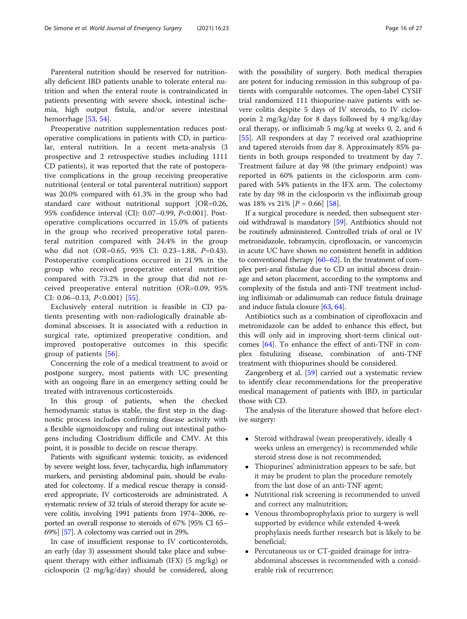Parenteral nutrition should be reserved for nutritionally deficient IBD patients unable to tolerate enteral nutrition and when the enteral route is contraindicated in patients presenting with severe shock, intestinal ischemia, high output fistula, and/or severe intestinal hemorrhage [[53,](#page-25-0) [54\]](#page-25-0).

Preoperative nutrition supplementation reduces postoperative complications in patients with CD, in particular, enteral nutrition. In a recent meta-analysis (3 prospective and 2 retrospective studies including 1111 CD patients), it was reported that the rate of postoperative complications in the group receiving preoperative nutritional (enteral or total parenteral nutrition) support was 20.0% compared with 61.3% in the group who had standard care without nutritional support [OR=0.26, 95% confidence interval (CI): 0.07–0.99, P<0.001]. Postoperative complications occurred in 15.0% of patients in the group who received preoperative total parenteral nutrition compared with 24.4% in the group who did not (OR=0.65, 95% CI: 0.23–1.88, P=0.43). Postoperative complications occurred in 21.9% in the group who received preoperative enteral nutrition compared with 73.2% in the group that did not received preoperative enteral nutrition (OR=0.09, 95% CI:  $0.06 - 0.13$ ,  $P < 0.001$ ) [\[55](#page-25-0)].

Exclusively enteral nutrition is feasible in CD patients presenting with non-radiologically drainable abdominal abscesses. It is associated with a reduction in surgical rate, optimized preoperative condition, and improved postoperative outcomes in this specific group of patients [\[56](#page-25-0)].

Concerning the role of a medical treatment to avoid or postpone surgery, most patients with UC presenting with an ongoing flare in an emergency setting could be treated with intravenous corticosteroids.

In this group of patients, when the checked hemodynamic status is stable, the first step in the diagnostic process includes confirming disease activity with a flexible sigmoidoscopy and ruling out intestinal pathogens including Clostridium difficile and CMV. At this point, it is possible to decide on rescue therapy.

Patients with significant systemic toxicity, as evidenced by severe weight loss, fever, tachycardia, high inflammatory markers, and persisting abdominal pain, should be evaluated for colectomy. If a medical rescue therapy is considered appropriate, IV corticosteroids are administrated. A systematic review of 32 trials of steroid therapy for acute severe colitis, involving 1991 patients from 1974–2006, reported an overall response to steroids of 67% [95% CI 65– 69%] [\[57\]](#page-25-0). A colectomy was carried out in 29%.

In case of insufficient response to IV corticosteroids, an early (day 3) assessment should take place and subsequent therapy with either infliximab (IFX) (5 mg/kg) or ciclosporin (2 mg/kg/day) should be considered, along with the possibility of surgery. Both medical therapies are potent for inducing remission in this subgroup of patients with comparable outcomes. The open-label CYSIF trial randomized 111 thiopurine-naive patients with severe colitis despite 5 days of IV steroids, to IV ciclosporin 2 mg/kg/day for 8 days followed by 4 mg/kg/day oral therapy, or infliximab 5 mg/kg at weeks 0, 2, and 6 [[55\]](#page-25-0). All responders at day 7 received oral azathioprine and tapered steroids from day 8. Approximately 85% patients in both groups responded to treatment by day 7. Treatment failure at day 98 (the primary endpoint) was reported in 60% patients in the ciclosporin arm compared with 54% patients in the IFX arm. The colectomy rate by day 98 in the ciclosporin vs the infliximab group was 18% vs 21%  $[P = 0.66]$  [[58](#page-25-0)].

If a surgical procedure is needed, then subsequent steroid withdrawal is mandatory [[59](#page-25-0)]. Antibiotics should not be routinely administered. Controlled trials of oral or IV metronidazole, tobramycin, ciprofloxacin, or vancomycin in acute UC have shown no consistent benefit in addition to conventional therapy [\[60](#page-25-0)–[62\]](#page-25-0). In the treatment of complex peri-anal fistulae due to CD an initial abscess drainage and seton placement, according to the symptoms and complexity of the fistula and anti-TNF treatment including infliximab or adalimumab can reduce fistula drainage and induce fistula closure [[63](#page-25-0), [64\]](#page-25-0).

Antibiotics such as a combination of ciprofloxacin and metronidazole can be added to enhance this effect, but this will only aid in improving short-term clinical outcomes [[64](#page-25-0)]. To enhance the effect of anti-TNF in complex fistulizing disease, combination of anti-TNF treatment with thiopurines should be considered.

Zangenberg et al. [\[59\]](#page-25-0) carried out a systematic review to identify clear recommendations for the preoperative medical management of patients with IBD, in particular those with CD.

The analysis of the literature showed that before elective surgery:

- Steroid withdrawal (wean preoperatively, ideally 4 weeks unless an emergency) is recommended while steroid stress dose is not recommended;
- Thiopurines' administration appears to be safe, but it may be prudent to plan the procedure remotely from the last dose of an anti-TNF agent;
- Nutritional risk screening is recommended to unveil and correct any malnutrition;
- Venous thromboprophylaxis prior to surgery is well supported by evidence while extended 4-week prophylaxis needs further research but is likely to be beneficial;
- Percutaneous us or CT-guided drainage for intraabdominal abscesses is recommended with a considerable risk of recurrence;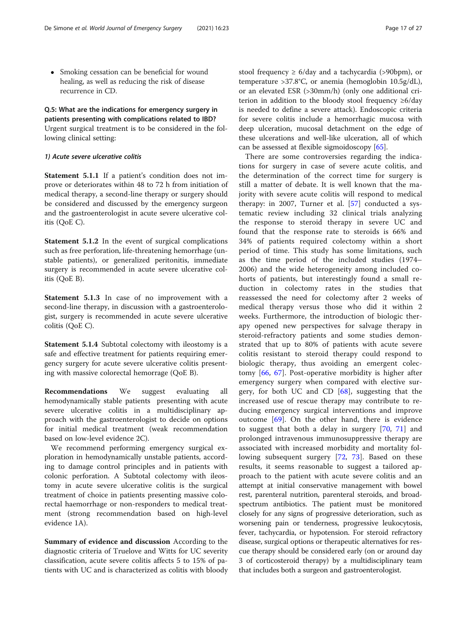• Smoking cessation can be beneficial for wound healing, as well as reducing the risk of disease recurrence in CD.

# Q.5: What are the indications for emergency surgery in patients presenting with complications related to IBD? Urgent surgical treatment is to be considered in the following clinical setting:

# 1) Acute severe ulcerative colitis

Statement 5.1.1 If a patient's condition does not improve or deteriorates within 48 to 72 h from initiation of medical therapy, a second-line therapy or surgery should be considered and discussed by the emergency surgeon and the gastroenterologist in acute severe ulcerative colitis (QoE C).

Statement 5.1.2 In the event of surgical complications such as free perforation, life-threatening hemorrhage (unstable patients), or generalized peritonitis, immediate surgery is recommended in acute severe ulcerative colitis (QoE B).

Statement 5.1.3 In case of no improvement with a second-line therapy, in discussion with a gastroenterologist, surgery is recommended in acute severe ulcerative colitis (QoE C).

Statement 5.1.4 Subtotal colectomy with ileostomy is a safe and effective treatment for patients requiring emergency surgery for acute severe ulcerative colitis presenting with massive colorectal hemorrage (QoE B).

Recommendations We suggest evaluating all hemodynamically stable patients presenting with acute severe ulcerative colitis in a multidisciplinary approach with the gastroenterologist to decide on options for initial medical treatment (weak recommendation based on low-level evidence 2C).

We recommend performing emergency surgical exploration in hemodynamically unstable patients, according to damage control principles and in patients with colonic perforation. A Subtotal colectomy with ileostomy in acute severe ulcerative colitis is the surgical treatment of choice in patients presenting massive colorectal haemorrhage or non-responders to medical treatment (strong recommendation based on high-level evidence 1A).

Summary of evidence and discussion According to the diagnostic criteria of Truelove and Witts for UC severity classification, acute severe colitis affects 5 to 15% of patients with UC and is characterized as colitis with bloody stool frequency  $\geq 6$ /day and a tachycardia (>90bpm), or temperature >37.8°C, or anemia (hemoglobin 10.5g/dL), or an elevated ESR (>30mm/h) (only one additional criterion in addition to the bloody stool frequency ≥6/day is needed to define a severe attack). Endoscopic criteria for severe colitis include a hemorrhagic mucosa with deep ulceration, mucosal detachment on the edge of these ulcerations and well-like ulceration, all of which can be assessed at flexible sigmoidoscopy [[65\]](#page-25-0).

There are some controversies regarding the indications for surgery in case of severe acute colitis, and the determination of the correct time for surgery is still a matter of debate. It is well known that the majority with severe acute colitis will respond to medical therapy: in 2007, Turner et al. [\[57](#page-25-0)] conducted a systematic review including 32 clinical trials analyzing the response to steroid therapy in severe UC and found that the response rate to steroids is 66% and 34% of patients required colectomy within a short period of time. This study has some limitations, such as the time period of the included studies (1974– 2006) and the wide heterogeneity among included cohorts of patients, but interestingly found a small reduction in colectomy rates in the studies that reassessed the need for colectomy after 2 weeks of medical therapy versus those who did it within 2 weeks. Furthermore, the introduction of biologic therapy opened new perspectives for salvage therapy in steroid-refractory patients and some studies demonstrated that up to 80% of patients with acute severe colitis resistant to steroid therapy could respond to biologic therapy, thus avoiding an emergent colectomy [\[66](#page-25-0), [67\]](#page-25-0). Post-operative morbidity is higher after emergency surgery when compared with elective surgery, for both UC and CD  $[68]$  $[68]$ , suggesting that the increased use of rescue therapy may contribute to reducing emergency surgical interventions and improve outcome [[69\]](#page-25-0). On the other hand, there is evidence to suggest that both a delay in surgery [[70,](#page-25-0) [71\]](#page-25-0) and prolonged intravenous immunosuppressive therapy are associated with increased morbidity and mortality following subsequent surgery [[72,](#page-25-0) [73](#page-25-0)]. Based on these results, it seems reasonable to suggest a tailored approach to the patient with acute severe colitis and an attempt at initial conservative management with bowel rest, parenteral nutrition, parenteral steroids, and broadspectrum antibiotics. The patient must be monitored closely for any signs of progressive deterioration, such as worsening pain or tenderness, progressive leukocytosis, fever, tachycardia, or hypotension. For steroid refractory disease, surgical options or therapeutic alternatives for rescue therapy should be considered early (on or around day 3 of corticosteroid therapy) by a multidisciplinary team that includes both a surgeon and gastroenterologist.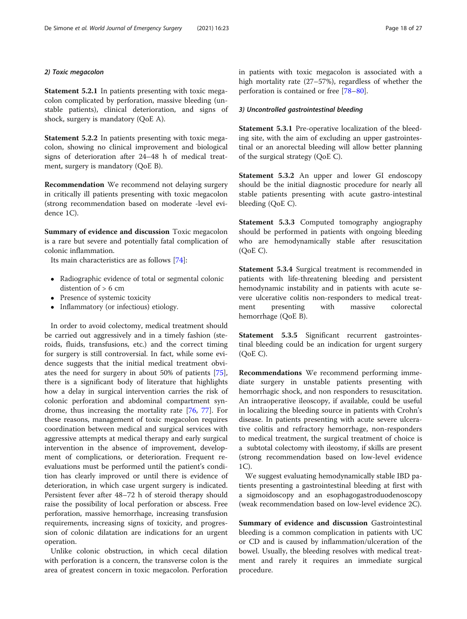# 2) Toxic megacolon

Statement 5.2.1 In patients presenting with toxic megacolon complicated by perforation, massive bleeding (unstable patients), clinical deterioration, and signs of shock, surgery is mandatory (QoE A).

Statement 5.2.2 In patients presenting with toxic megacolon, showing no clinical improvement and biological signs of deterioration after 24–48 h of medical treatment, surgery is mandatory (QoE B).

Recommendation We recommend not delaying surgery in critically ill patients presenting with toxic megacolon (strong recommendation based on moderate -level evidence 1C).

Summary of evidence and discussion Toxic megacolon is a rare but severe and potentially fatal complication of colonic inflammation.

Its main characteristics are as follows [[74\]](#page-25-0):

- Radiographic evidence of total or segmental colonic distention of > 6 cm
- Presence of systemic toxicity
- Inflammatory (or infectious) etiology.

In order to avoid colectomy, medical treatment should be carried out aggressively and in a timely fashion (steroids, fluids, transfusions, etc.) and the correct timing for surgery is still controversial. In fact, while some evidence suggests that the initial medical treatment obviates the need for surgery in about 50% of patients [\[75](#page-25-0)], there is a significant body of literature that highlights how a delay in surgical intervention carries the risk of colonic perforation and abdominal compartment syndrome, thus increasing the mortality rate [\[76](#page-25-0), [77\]](#page-25-0). For these reasons, management of toxic megacolon requires coordination between medical and surgical services with aggressive attempts at medical therapy and early surgical intervention in the absence of improvement, development of complications, or deterioration. Frequent reevaluations must be performed until the patient's condition has clearly improved or until there is evidence of deterioration, in which case urgent surgery is indicated. Persistent fever after 48–72 h of steroid therapy should raise the possibility of local perforation or abscess. Free perforation, massive hemorrhage, increasing transfusion requirements, increasing signs of toxicity, and progression of colonic dilatation are indications for an urgent operation.

Unlike colonic obstruction, in which cecal dilation with perforation is a concern, the transverse colon is the area of greatest concern in toxic megacolon. Perforation in patients with toxic megacolon is associated with a high mortality rate (27–57%), regardless of whether the perforation is contained or free [[78](#page-25-0)–[80](#page-25-0)].

# 3) Uncontrolled gastrointestinal bleeding

Statement 5.3.1 Pre-operative localization of the bleeding site, with the aim of excluding an upper gastrointestinal or an anorectal bleeding will allow better planning of the surgical strategy (QoE C).

Statement 5.3.2 An upper and lower GI endoscopy should be the initial diagnostic procedure for nearly all stable patients presenting with acute gastro-intestinal bleeding (QoE C).

Statement 5.3.3 Computed tomography angiography should be performed in patients with ongoing bleeding who are hemodynamically stable after resuscitation (QoE C).

Statement 5.3.4 Surgical treatment is recommended in patients with life-threatening bleeding and persistent hemodynamic instability and in patients with acute severe ulcerative colitis non-responders to medical treatment presenting with massive colorectal hemorrhage (QoE B).

Statement 5.3.5 Significant recurrent gastrointestinal bleeding could be an indication for urgent surgery (QoE C).

Recommendations We recommend performing immediate surgery in unstable patients presenting with hemorrhagic shock, and non responders to resuscitation. An intraoperative ileoscopy, if available, could be useful in localizing the bleeding source in patients with Crohn's disease. In patients presenting with acute severe ulcerative colitis and refractory hemorrhage, non-responders to medical treatment, the surgical treatment of choice is a subtotal colectomy with ileostomy, if skills are present (strong recommendation based on low-level evidence 1C).

We suggest evaluating hemodynamically stable IBD patients presenting a gastrointestinal bleeding at first with a sigmoidoscopy and an esophagogastroduodenoscopy (weak recommendation based on low-level evidence 2C).

Summary of evidence and discussion Gastrointestinal bleeding is a common complication in patients with UC or CD and is caused by inflammation/ulceration of the bowel. Usually, the bleeding resolves with medical treatment and rarely it requires an immediate surgical procedure.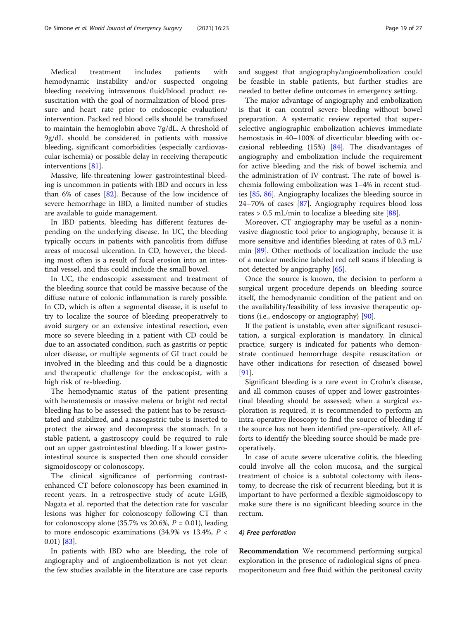Medical treatment includes patients with hemodynamic instability and/or suspected ongoing bleeding receiving intravenous fluid/blood product resuscitation with the goal of normalization of blood pressure and heart rate prior to endoscopic evaluation/ intervention. Packed red blood cells should be transfused to maintain the hemoglobin above 7g/dL. A threshold of 9g/dL should be considered in patients with massive bleeding, significant comorbidities (especially cardiovascular ischemia) or possible delay in receiving therapeutic interventions [\[81](#page-25-0)].

Massive, life-threatening lower gastrointestinal bleeding is uncommon in patients with IBD and occurs in less than 6% of cases [\[82](#page-25-0)]. Because of the low incidence of severe hemorrhage in IBD, a limited number of studies are available to guide management.

In IBD patients, bleeding has different features depending on the underlying disease. In UC, the bleeding typically occurs in patients with pancolitis from diffuse areas of mucosal ulceration. In CD, however, the bleeding most often is a result of focal erosion into an intestinal vessel, and this could include the small bowel.

In UC, the endoscopic assessment and treatment of the bleeding source that could be massive because of the diffuse nature of colonic inflammation is rarely possible. In CD, which is often a segmental disease, it is useful to try to localize the source of bleeding preoperatively to avoid surgery or an extensive intestinal resection, even more so severe bleeding in a patient with CD could be due to an associated condition, such as gastritis or peptic ulcer disease, or multiple segments of GI tract could be involved in the bleeding and this could be a diagnostic and therapeutic challenge for the endoscopist, with a high risk of re-bleeding.

The hemodynamic status of the patient presenting with hematemesis or massive melena or bright red rectal bleeding has to be assessed: the patient has to be resuscitated and stabilized, and a nasogastric tube is inserted to protect the airway and decompress the stomach. In a stable patient, a gastroscopy could be required to rule out an upper gastrointestinal bleeding. If a lower gastrointestinal source is suspected then one should consider sigmoidoscopy or colonoscopy.

The clinical significance of performing contrastenhanced CT before colonoscopy has been examined in recent years. In a retrospective study of acute LGIB, Nagata et al. reported that the detection rate for vascular lesions was higher for colonoscopy following CT than for colonoscopy alone  $(35.7\% \text{ vs } 20.6\%, P = 0.01)$ , leading to more endoscopic examinations (34.9% vs 13.4%,  $P <$ 0.01) [[83\]](#page-25-0).

In patients with IBD who are bleeding, the role of angiography and of angioembolization is not yet clear: the few studies available in the literature are case reports and suggest that angiography/angioembolization could be feasible in stable patients, but further studies are needed to better define outcomes in emergency setting.

The major advantage of angiography and embolization is that it can control severe bleeding without bowel preparation. A systematic review reported that superselective angiographic embolization achieves immediate hemostasis in 40–100% of diverticular bleeding with occasional rebleeding  $(15%)$   $[84]$  $[84]$  $[84]$ . The disadvantages of angiography and embolization include the requirement for active bleeding and the risk of bowel ischemia and the administration of IV contrast. The rate of bowel ischemia following embolization was 1–4% in recent studies [[85](#page-25-0), [86\]](#page-25-0). Angiography localizes the bleeding source in 24–70% of cases [\[87\]](#page-25-0). Angiography requires blood loss rates > 0.5 mL/min to localize a bleeding site [[88\]](#page-25-0).

Moreover, CT angiography may be useful as a noninvasive diagnostic tool prior to angiography, because it is more sensitive and identifies bleeding at rates of 0.3 mL/ min [[89\]](#page-25-0). Other methods of localization include the use of a nuclear medicine labeled red cell scans if bleeding is not detected by angiography [\[65\]](#page-25-0).

Once the source is known, the decision to perform a surgical urgent procedure depends on bleeding source itself, the hemodynamic condition of the patient and on the availability/feasibility of less invasive therapeutic options (i.e., endoscopy or angiography) [\[90\]](#page-25-0).

If the patient is unstable, even after significant resuscitation, a surgical exploration is mandatory. In clinical practice, surgery is indicated for patients who demonstrate continued hemorrhage despite resuscitation or have other indications for resection of diseased bowel [[91\]](#page-26-0).

Significant bleeding is a rare event in Crohn's disease, and all common causes of upper and lower gastrointestinal bleeding should be assessed; when a surgical exploration is required, it is recommended to perform an intra-operative ileoscopy to find the source of bleeding if the source has not been identified pre-operatively. All efforts to identify the bleeding source should be made preoperatively.

In case of acute severe ulcerative colitis, the bleeding could involve all the colon mucosa, and the surgical treatment of choice is a subtotal colectomy with ileostomy, to decrease the risk of recurrent bleeding, but it is important to have performed a flexible sigmoidoscopy to make sure there is no significant bleeding source in the rectum.

# 4) Free perforation

Recommendation We recommend performing surgical exploration in the presence of radiological signs of pneumoperitoneum and free fluid within the peritoneal cavity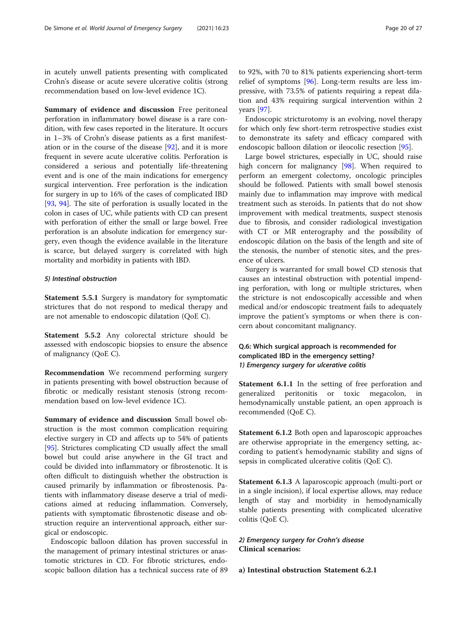in acutely unwell patients presenting with complicated Crohn's disease or acute severe ulcerative colitis (strong recommendation based on low-level evidence 1C).

Summary of evidence and discussion Free peritoneal perforation in inflammatory bowel disease is a rare condition, with few cases reported in the literature. It occurs in 1–3% of Crohn's disease patients as a first manifestation or in the course of the disease [\[92](#page-26-0)], and it is more frequent in severe acute ulcerative colitis. Perforation is considered a serious and potentially life-threatening event and is one of the main indications for emergency surgical intervention. Free perforation is the indication for surgery in up to 16% of the cases of complicated IBD [[93,](#page-26-0) [94](#page-26-0)]. The site of perforation is usually located in the colon in cases of UC, while patients with CD can present with perforation of either the small or large bowel. Free perforation is an absolute indication for emergency surgery, even though the evidence available in the literature is scarce, but delayed surgery is correlated with high mortality and morbidity in patients with IBD.

# 5) Intestinal obstruction

Statement 5.5.1 Surgery is mandatory for symptomatic strictures that do not respond to medical therapy and are not amenable to endoscopic dilatation (QoE C).

Statement 5.5.2 Any colorectal stricture should be assessed with endoscopic biopsies to ensure the absence of malignancy (QoE C).

Recommendation We recommend performing surgery in patients presenting with bowel obstruction because of fibrotic or medically resistant stenosis (strong recommendation based on low-level evidence 1C).

Summary of evidence and discussion Small bowel obstruction is the most common complication requiring elective surgery in CD and affects up to 54% of patients [[95\]](#page-26-0). Strictures complicating CD usually affect the small bowel but could arise anywhere in the GI tract and could be divided into inflammatory or fibrostenotic. It is often difficult to distinguish whether the obstruction is caused primarily by inflammation or fibrostenosis. Patients with inflammatory disease deserve a trial of medications aimed at reducing inflammation. Conversely, patients with symptomatic fibrostenotic disease and obstruction require an interventional approach, either surgical or endoscopic.

Endoscopic balloon dilation has proven successful in the management of primary intestinal strictures or anastomotic strictures in CD. For fibrotic strictures, endoscopic balloon dilation has a technical success rate of 89

to 92%, with 70 to 81% patients experiencing short-term relief of symptoms [[96\]](#page-26-0). Long-term results are less impressive, with 73.5% of patients requiring a repeat dilation and 43% requiring surgical intervention within 2 years [\[97](#page-26-0)].

Endoscopic stricturotomy is an evolving, novel therapy for which only few short-term retrospective studies exist to demonstrate its safety and efficacy compared with endoscopic balloon dilation or ileocolic resection [[95\]](#page-26-0).

Large bowel strictures, especially in UC, should raise high concern for malignancy [[98\]](#page-26-0). When required to perform an emergent colectomy, oncologic principles should be followed. Patients with small bowel stenosis mainly due to inflammation may improve with medical treatment such as steroids. In patients that do not show improvement with medical treatments, suspect stenosis due to fibrosis, and consider radiological investigation with CT or MR enterography and the possibility of endoscopic dilation on the basis of the length and site of the stenosis, the number of stenotic sites, and the presence of ulcers.

Surgery is warranted for small bowel CD stenosis that causes an intestinal obstruction with potential impending perforation, with long or multiple strictures, when the stricture is not endoscopically accessible and when medical and/or endoscopic treatment fails to adequately improve the patient's symptoms or when there is concern about concomitant malignancy.

# Q.6: Which surgical approach is recommended for complicated IBD in the emergency setting? 1) Emergency surgery for ulcerative colitis

Statement 6.1.1 In the setting of free perforation and generalized peritonitis or toxic megacolon, in hemodynamically unstable patient, an open approach is recommended (QoE C).

Statement 6.1.2 Both open and laparoscopic approaches are otherwise appropriate in the emergency setting, according to patient's hemodynamic stability and signs of sepsis in complicated ulcerative colitis (QoE C).

Statement 6.1.3 A laparoscopic approach (multi-port or in a single incision), if local expertise allows, may reduce length of stay and morbidity in hemodynamically stable patients presenting with complicated ulcerative colitis (QoE C).

# 2) Emergency surgery for Crohn's disease Clinical scenarios:

a) Intestinal obstruction Statement 6.2.1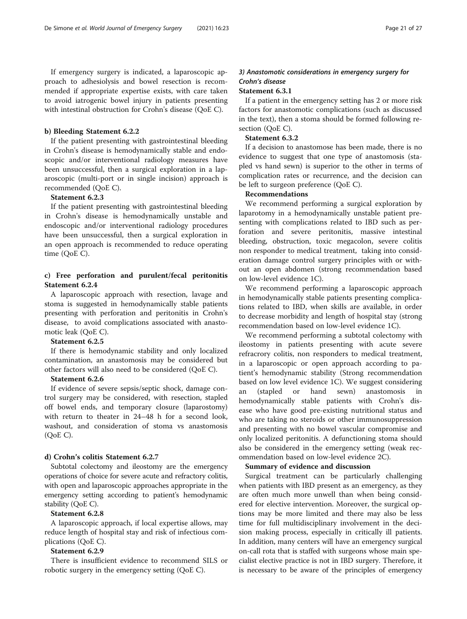If emergency surgery is indicated, a laparoscopic approach to adhesiolysis and bowel resection is recommended if appropriate expertise exists, with care taken to avoid iatrogenic bowel injury in patients presenting with intestinal obstruction for Crohn's disease (QoE C).

# b) Bleeding Statement 6.2.2

If the patient presenting with gastrointestinal bleeding in Crohn's disease is hemodynamically stable and endoscopic and/or interventional radiology measures have been unsuccessful, then a surgical exploration in a laparoscopic (multi-port or in single incision) approach is recommended (QoE C).

# Statement 6.2.3

If the patient presenting with gastrointestinal bleeding in Crohn's disease is hemodynamically unstable and endoscopic and/or interventional radiology procedures have been unsuccessful, then a surgical exploration in an open approach is recommended to reduce operating time (QoE C).

# c) Free perforation and purulent/fecal peritonitis Statement 6.2.4

A laparoscopic approach with resection, lavage and stoma is suggested in hemodynamically stable patients presenting with perforation and peritonitis in Crohn's disease, to avoid complications associated with anastomotic leak (QoE C).

#### Statement 6.2.5

If there is hemodynamic stability and only localized contamination, an anastomosis may be considered but other factors will also need to be considered (QoE C).

# Statement 6.2.6

If evidence of severe sepsis/septic shock, damage control surgery may be considered, with resection, stapled off bowel ends, and temporary closure (laparostomy) with return to theater in 24–48 h for a second look, washout, and consideration of stoma vs anastomosis (QoE C).

#### d) Crohn's colitis Statement 6.2.7

Subtotal colectomy and ileostomy are the emergency operations of choice for severe acute and refractory colitis, with open and laparoscopic approaches appropriate in the emergency setting according to patient's hemodynamic stability (QoE C).

#### Statement 6.2.8

A laparoscopic approach, if local expertise allows, may reduce length of hospital stay and risk of infectious complications (QoE C).

# Statement 6.2.9

There is insufficient evidence to recommend SILS or robotic surgery in the emergency setting (QoE C).

# 3) Anastomotic considerations in emergency surgery for Crohn's disease

# Statement 6.3.1

If a patient in the emergency setting has 2 or more risk factors for anastomotic complications (such as discussed in the text), then a stoma should be formed following resection (QoE C).

# Statement 6.3.2

If a decision to anastomose has been made, there is no evidence to suggest that one type of anastomosis (stapled vs hand sewn) is superior to the other in terms of complication rates or recurrence, and the decision can be left to surgeon preference (QoE C).

#### Recommendations

We recommend performing a surgical exploration by laparotomy in a hemodynamically unstable patient presenting with complications related to IBD such as perforation and severe peritonitis, massive intestinal bleeding, obstruction, toxic megacolon, severe colitis non responder to medical treatment, taking into consideration damage control surgery principles with or without an open abdomen (strong recommendation based on low-level evidence 1C).

We recommend performing a laparoscopic approach in hemodynamically stable patients presenting complications related to IBD, when skills are available, in order to decrease morbidity and length of hospital stay (strong recommendation based on low-level evidence 1C).

We recommend performing a subtotal colectomy with ileostomy in patients presenting with acute severe refracrory colitis, non responders to medical treatment, in a laparoscopic or open approach according to patient's hemodynamic stability (Strong recommendation based on low level evidence 1C). We suggest considering an (stapled or hand sewn) anastomosis in hemodynamically stable patients with Crohn's disease who have good pre-existing nutritional status and who are taking no steroids or other immunosuppression and presenting with no bowel vascular compromise and only localized peritonitis. A defunctioning stoma should also be considered in the emergency setting (weak recommendation based on low-level evidence 2C).

#### Summary of evidence and discussion

Surgical treatment can be particularly challenging when patients with IBD present as an emergency, as they are often much more unwell than when being considered for elective intervention. Moreover, the surgical options may be more limited and there may also be less time for full multidisciplinary involvement in the decision making process, especially in critically ill patients. In addition, many centers will have an emergency surgical on-call rota that is staffed with surgeons whose main specialist elective practice is not in IBD surgery. Therefore, it is necessary to be aware of the principles of emergency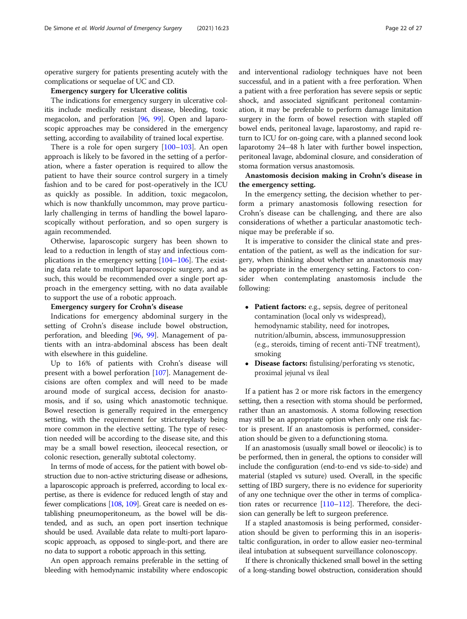operative surgery for patients presenting acutely with the complications or sequelae of UC and CD.

#### Emergency surgery for Ulcerative colitis

The indications for emergency surgery in ulcerative colitis include medically resistant disease, bleeding, toxic megacolon, and perforation [\[96,](#page-26-0) [99](#page-26-0)]. Open and laparoscopic approaches may be considered in the emergency setting, according to availability of trained local expertise.

There is a role for open surgery [\[100](#page-26-0)–[103\]](#page-26-0). An open approach is likely to be favored in the setting of a perforation, where a faster operation is required to allow the patient to have their source control surgery in a timely fashion and to be cared for post-operatively in the ICU as quickly as possible. In addition, toxic megacolon, which is now thankfully uncommon, may prove particularly challenging in terms of handling the bowel laparoscopically without perforation, and so open surgery is again recommended.

Otherwise, laparoscopic surgery has been shown to lead to a reduction in length of stay and infectious complications in the emergency setting [[104](#page-26-0)–[106\]](#page-26-0). The existing data relate to multiport laparoscopic surgery, and as such, this would be recommended over a single port approach in the emergency setting, with no data available to support the use of a robotic approach.

#### Emergency surgery for Crohn's disease

Indications for emergency abdominal surgery in the setting of Crohn's disease include bowel obstruction, perforation, and bleeding [[96](#page-26-0), [99\]](#page-26-0). Management of patients with an intra-abdominal abscess has been dealt with elsewhere in this guideline.

Up to 16% of patients with Crohn's disease will present with a bowel perforation [\[107](#page-26-0)]. Management decisions are often complex and will need to be made around mode of surgical access, decision for anastomosis, and if so, using which anastomotic technique. Bowel resection is generally required in the emergency setting, with the requirement for strictureplasty being more common in the elective setting. The type of resection needed will be according to the disease site, and this may be a small bowel resection, ileocecal resection, or colonic resection, generally subtotal colectomy.

In terms of mode of access, for the patient with bowel obstruction due to non-active stricturing disease or adhesions, a laparoscopic approach is preferred, according to local expertise, as there is evidence for reduced length of stay and fewer complications [\[108](#page-26-0), [109](#page-26-0)]. Great care is needed on establishing pneumoperitoneum, as the bowel will be distended, and as such, an open port insertion technique should be used. Available data relate to multi-port laparoscopic approach, as opposed to single-port, and there are no data to support a robotic approach in this setting.

An open approach remains preferable in the setting of bleeding with hemodynamic instability where endoscopic and interventional radiology techniques have not been successful, and in a patient with a free perforation. When a patient with a free perforation has severe sepsis or septic shock, and associated significant peritoneal contamination, it may be preferable to perform damage limitation surgery in the form of bowel resection with stapled off bowel ends, peritoneal lavage, laparostomy, and rapid return to ICU for on-going care, with a planned second look laparotomy 24–48 h later with further bowel inspection, peritoneal lavage, abdominal closure, and consideration of stoma formation versus anastomosis.

Anastomosis decision making in Crohn's disease in the emergency setting.

In the emergency setting, the decision whether to perform a primary anastomosis following resection for Crohn's disease can be challenging, and there are also considerations of whether a particular anastomotic technique may be preferable if so.

It is imperative to consider the clinical state and presentation of the patient, as well as the indication for surgery, when thinking about whether an anastomosis may be appropriate in the emergency setting. Factors to consider when contemplating anastomosis include the following:

- Patient factors: e.g., sepsis, degree of peritoneal contamination (local only vs widespread), hemodynamic stability, need for inotropes, nutrition/albumin, abscess, immunosuppression (e.g., steroids, timing of recent anti-TNF treatment), smoking
- Disease factors: fistulising/perforating vs stenotic, proximal jejunal vs ileal

If a patient has 2 or more risk factors in the emergency setting, then a resection with stoma should be performed, rather than an anastomosis. A stoma following resection may still be an appropriate option when only one risk factor is present. If an anastomosis is performed, consideration should be given to a defunctioning stoma.

If an anastomosis (usually small bowel or ileocolic) is to be performed, then in general, the options to consider will include the configuration (end-to-end vs side-to-side) and material (stapled vs suture) used. Overall, in the specific setting of IBD surgery, there is no evidence for superiority of any one technique over the other in terms of complication rates or recurrence [[110](#page-26-0)–[112](#page-26-0)]. Therefore, the decision can generally be left to surgeon preference.

If a stapled anastomosis is being performed, consideration should be given to performing this in an isoperistaltic configuration, in order to allow easier neo-terminal ileal intubation at subsequent surveillance colonoscopy.

If there is chronically thickened small bowel in the setting of a long-standing bowel obstruction, consideration should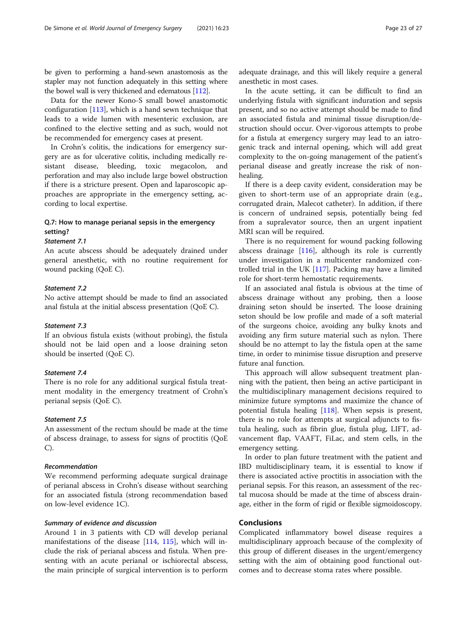be given to performing a hand-sewn anastomosis as the stapler may not function adequately in this setting where the bowel wall is very thickened and edematous [[112\]](#page-26-0).

Data for the newer Kono-S small bowel anastomotic configuration [[113](#page-26-0)], which is a hand sewn technique that leads to a wide lumen with mesenteric exclusion, are confined to the elective setting and as such, would not be recommended for emergency cases at present.

In Crohn's colitis, the indications for emergency surgery are as for ulcerative colitis, including medically resistant disease, bleeding, toxic megacolon, and perforation and may also include large bowel obstruction if there is a stricture present. Open and laparoscopic approaches are appropriate in the emergency setting, according to local expertise.

# Q.7: How to manage perianal sepsis in the emergency setting?

#### Statement 7.1

An acute abscess should be adequately drained under general anesthetic, with no routine requirement for wound packing (QoE C).

# Statement 7.2

No active attempt should be made to find an associated anal fistula at the initial abscess presentation (QoE C).

#### Statement 7.3

If an obvious fistula exists (without probing), the fistula should not be laid open and a loose draining seton should be inserted (QoE C).

# Statement 7.4

There is no role for any additional surgical fistula treatment modality in the emergency treatment of Crohn's perianal sepsis (QoE C).

# Statement 7.5

An assessment of the rectum should be made at the time of abscess drainage, to assess for signs of proctitis (QoE C).

# Recommendation

We recommend performing adequate surgical drainage of perianal abscess in Crohn's disease without searching for an associated fistula (strong recommendation based on low-level evidence 1C).

# Summary of evidence and discussion

Around 1 in 3 patients with CD will develop perianal manifestations of the disease [[114,](#page-26-0) [115\]](#page-26-0), which will include the risk of perianal abscess and fistula. When presenting with an acute perianal or ischiorectal abscess, the main principle of surgical intervention is to perform

adequate drainage, and this will likely require a general anesthetic in most cases.

In the acute setting, it can be difficult to find an underlying fistula with significant induration and sepsis present, and so no active attempt should be made to find an associated fistula and minimal tissue disruption/destruction should occur. Over-vigorous attempts to probe for a fistula at emergency surgery may lead to an iatrogenic track and internal opening, which will add great complexity to the on-going management of the patient's perianal disease and greatly increase the risk of nonhealing.

If there is a deep cavity evident, consideration may be given to short-term use of an appropriate drain (e.g., corrugated drain, Malecot catheter). In addition, if there is concern of undrained sepsis, potentially being fed from a supralevator source, then an urgent inpatient MRI scan will be required.

There is no requirement for wound packing following abscess drainage  $[116]$ , although its role is currently under investigation in a multicenter randomized controlled trial in the UK [[117](#page-26-0)]. Packing may have a limited role for short-term hemostatic requirements.

If an associated anal fistula is obvious at the time of abscess drainage without any probing, then a loose draining seton should be inserted. The loose draining seton should be low profile and made of a soft material of the surgeons choice, avoiding any bulky knots and avoiding any firm suture material such as nylon. There should be no attempt to lay the fistula open at the same time, in order to minimise tissue disruption and preserve future anal function.

This approach will allow subsequent treatment planning with the patient, then being an active participant in the multidisciplinary management decisions required to minimize future symptoms and maximize the chance of potential fistula healing [\[118\]](#page-26-0). When sepsis is present, there is no role for attempts at surgical adjuncts to fistula healing, such as fibrin glue, fistula plug, LIFT, advancement flap, VAAFT, FiLac, and stem cells, in the emergency setting.

In order to plan future treatment with the patient and IBD multidisciplinary team, it is essential to know if there is associated active proctitis in association with the perianal sepsis. For this reason, an assessment of the rectal mucosa should be made at the time of abscess drainage, either in the form of rigid or flexible sigmoidoscopy.

# Conclusions

Complicated inflammatory bowel disease requires a multidisciplinary approach because of the complexity of this group of different diseases in the urgent/emergency setting with the aim of obtaining good functional outcomes and to decrease stoma rates where possible.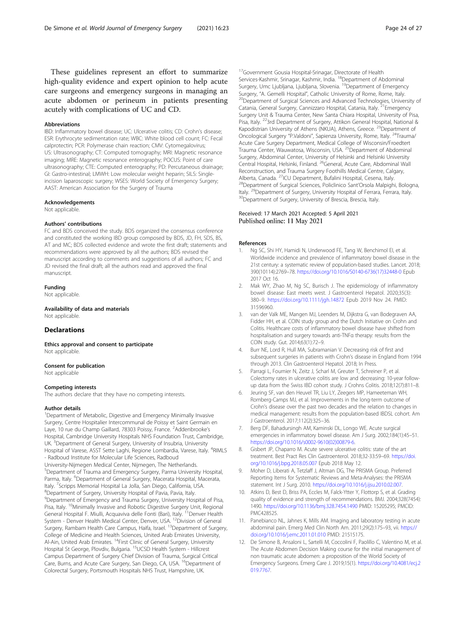<span id="page-23-0"></span>These guidelines represent an effort to summarize high-quality evidence and expert opinion to help acute care surgeons and emergency surgeons in managing an acute abdomen or perineum in patients presenting acutely with complications of UC and CD.

#### Abbreviations

IBD: Inflammatory bowel disease; UC: Ulcerative colitis; CD: Crohn's disease; ESR: Erythrocyte sedimentation rate; WBC: White blood cell count; FC: Fecal calprotectin; PCR: Polymerase chain reaction; CMV: Cytomegalovirus; US: Ultrasonography; CT: Computed tomography; MRI: Magnetic resonance imaging; MRE: Magnetic resonance enterography; POCUS: Point of care ultrasonography; CTE: Computed enterography; PD: Percutaneous drainage; GI: Gastro-intestinal; LMWH: Low molecular weight heparin; SILS: Singleincision laparoscopic surgery; WSES: World Society of Emergency Surgery; AAST: American Association for the Surgery of Trauma

#### Acknowledgements

Not applicable.

#### Authors' contributions

FC and BDS conceived the study. BDS organized the consensus conference and constituted the working IBD group composed by BDS, JD, FH, SDS, BS, AT and MC; BDS collected evidence and wrote the first draft; statements and recommendations were approved by all the authors; BDS revised the manuscript according to comments and suggestions of all authors; FC and JD revised the final draft; all the authors read and approved the final manuscript.

#### Funding

Not applicable.

Availability of data and materials Not applicable.

#### **Declarations**

Ethics approval and consent to participate Not applicable.

#### Consent for publication

Not applicable

#### Competing interests

The authors declare that they have no competing interests.

#### Author details

<sup>1</sup>Department of Metabolic, Digestive and Emergency Minimally Invasive Surgery, Centre Hospitalier Intercommunal de Poissy et Saint Germain en Laye, 10 rue du Champ Gaillard, 78303 Poissy, France. <sup>2</sup>Addenbrooke's Hospital, Cambridge University Hospitals NHS Foundation Trust, Cambridge, UK. <sup>3</sup>Department of General Surgery, University of Insubria, University Hospital of Varese, ASST Sette Laghi, Regione Lombardia, Varese, Italy. <sup>4</sup>RIMLS - Radboud Institute for Molecular Life Sciences, Radboud University-Nijmegen Medical Center, Nijmegen, The Netherlands. 5 Department of Trauma and Emergency Surgery, Parma University Hospital, Parma, Italy. <sup>6</sup>Department of General Surgery, Macerata Hospital, Macerata, Italy. <sup>7</sup> Scripps Memorial Hospital La Jolla, San Diego, California, USA.<br><sup>8</sup> Department of Surgery, University Hospital of Pavia, Pavia, Italy. <sup>8</sup>Department of Surgery, University Hospital of Pavia, Pavia, Italy. 9 Department of Emergency and Trauma Surgery, University Hospital of Pisa, Pisa, Italy. <sup>10</sup>Minimally Invasive and Robotic Digestive Surgery Unit, Regional General Hospital F. Miulli, Acquaviva delle Fonti (Bari), Italy. <sup>11</sup>Denver Health System - Denver Health Medical Center, Denver, USA. <sup>12</sup>Division of General Surgery, Rambam Health Care Campus, Haifa, Israel. <sup>13</sup>Department of Surgery, College of Medicine and Health Sciences, United Arab Emirates University, Al-Ain, United Arab Emirates. <sup>14</sup>First Clinic of General Surgery, University Hospital St George, Plovdiv, Bulgaria. <sup>15</sup>UCSD Health System - Hillcrest Campus Department of Surgery Chief Division of Trauma, Surgical Critical Care, Burns, and Acute Care Surgery, San Diego, CA, USA. <sup>16</sup>Department of Colorectal Surgery, Portsmouth Hospitals NHS Trust, Hampshire, UK.

<sup>17</sup>Government Gousia Hospital-Srinagar, Directorate of Health Services-Kashmir, Srinagar, Kashmir, India. <sup>18</sup>Department of Abdominal Surgery, Umc Ljubljana, Ljubljana, Slovenia. <sup>19</sup>Department of Emergency<br>Surgery, "A. Gemelli Hospital", Catholic University of Rome, Rome, Italy. <sup>20</sup>Department of Surgical Sciences and Advanced Technologies, University of Catania, General Surgery, Cannizzaro Hospital, Catania, Italy.<sup>21</sup>Emergency Surgery Unit & Trauma Center, New Santa Chiara Hospital, University of Pisa, Pisa, Italy. <sup>22</sup>3rd Department of Surgery, Attikon General Hospital, National & Kapodistrian University of Athens (NKUA), Athens, Greece. <sup>23</sup>Department of Oncological Surgery "P.Valdoni", Sapienza University, Rome, Italy. 24Trauma/ Acute Care Surgery Department, Medical College of Wisconsin/Froedtert Trauma Center, Wauwatosa, Wisconsin, USA.<sup>25</sup>Department of Abdominal Surgery, Abdominal Center, University of Helsinki and Helsinki University Central Hospital, Helsinki, Finland. 26General, Acute Care, Abdominal Wall Reconstruction, and Trauma Surgery Foothills Medical Centre, Calgary,<br>Alberta. Canada. <sup>27</sup>ICU Department, Bufalini Hospital, Cesena, Italy. <sup>28</sup>Department of Surgical Sciences, Policlinico Sant'Orsola Malpighi, Bologna, Italy. <sup>29</sup>Department of Surgery, University Hospital of Ferrara, Ferrara, Italy.<br><sup>30</sup>Department of Surgery, University of Brescia, Brescia, Italy.

#### Received: 17 March 2021 Accepted: 5 April 2021 Published online: 11 May 2021

#### References

- 1. Ng SC, Shi HY, Hamidi N, Underwood FE, Tang W, Benchimol EI, et al. Worldwide incidence and prevalence of inflammatory bowel disease in the 21st century: a systematic review of population-based studies. Lancet. 2018; 390(10114):2769–78. [https://doi.org/10.1016/S0140-6736\(17\)32448-0](https://doi.org/10.1016/S0140-6736(17)32448-0) Epub 2017 Oct 16.
- 2. Mak WY, Zhao M, Ng SC, Burisch J. The epidemiology of inflammatory bowel disease: East meets west. J Gastroenterol Hepatol. 2020;35(3): 380–9. <https://doi.org/10.1111/jgh.14872> Epub 2019 Nov 24. PMID: 31596960.
- 3. van der Valk ME, Mangen MJ, Leenders M, Dijkstra G, van Bodegraven AA, Fidder HH, et al. COIN study group and the Dutch Initiative on Crohn and Colitis. Healthcare costs of inflammatory bowel disease have shifted from hospitalisation and surgery towards anti-TNFα therapy: results from the COIN study. Gut. 2014;63(1):72–9.
- 4. Burr NE, Lord R, Hull MA, Subramanian V. Decreasing risk of first and subsequent surgeries in patients with Crohn's disease in England from 1994 through 2013. Clin Gastroenterol Hepatol. 2018; In Press.
- Parragi L, Fournier N, Zeitz J, Scharl M, Greuter T, Schreiner P, et al. Colectomy rates in ulcerative colitis are low and decreasing: 10-year followup data from the Swiss IBD cohort study. J Crohns Colitis. 2018;12(7):811–8.
- 6. Jeuring SF, van den Heuvel TR, Liu LY, Zeegers MP, Hameeteman WH, Romberg-Camps MJ, et al. Improvements in the long-term outcome of Crohn's disease over the past two decades and the relation to changes in medical management: results from the population-based IBDSL cohort. Am J Gastroenterol. 2017;112(2):325–36.
- 7. Berg DF, Bahadursingh AM, Kaminski DL, Longo WE. Acute surgical emergencies in inflammatory bowel disease. Am J Surg. 2002;184(1):45–51. [https://doi.org/10.1016/s0002-9610\(02\)00879-6](https://doi.org/10.1016/s0002-9610(02)00879-6).
- 8. Gisbert JP, Chaparro M. Acute severe ulcerative colitis: state of the art treatment. Best Pract Res Clin Gastroenterol. 2018;32-33:59–69. [https://doi.](https://doi.org/10.1016/j.bpg.2018.05.007) [org/10.1016/j.bpg.2018.05.007](https://doi.org/10.1016/j.bpg.2018.05.007) Epub 2018 May 12.
- 9. Moher D, Liberati A, Tetzlaff J, Altman DG, The PRISMA Group. Preferred Reporting Items for Systematic Reviews and Meta-Analyses: the PRISMA statement. Int J Surg. 2010. <https://doi.org/10.1016/j.ijsu.2010.02.007>.
- 10. Atkins D, Best D, Briss PA, Eccles M, Falck-Ytter Y, Flottorp S, et al. Grading quality of evidence and strength of recommendations. BMJ. 2004;328(7454): 1490. <https://doi.org/10.1136/bmj.328.7454.1490> PMID: 15205295; PMCID: PMC428525.
- 11. Panebianco NL, Jahnes K, Mills AM. Imaging and laboratory testing in acute abdominal pain. Emerg Med Clin North Am. 2011;29(2):175–93, vii. [https://](https://doi.org/10.1016/j.emc.2011.01.010) [doi.org/10.1016/j.emc.2011.01.010](https://doi.org/10.1016/j.emc.2011.01.010) PMID: 21515175.
- 12. De Simone B, Ansaloni L, Sartelli M, Coccolini F, Paolillo C, Valentino M, et al. The Acute Abdomen Decision Making course for the initial management of non traumatic acute abdomen: a proposition of the World Society of Emergency Surgeons. Emerg Care J. 2019;15(1). [https://doi.org/10.4081/ecj.2](https://doi.org/10.4081/ecj.2019.7767) [019.7767.](https://doi.org/10.4081/ecj.2019.7767)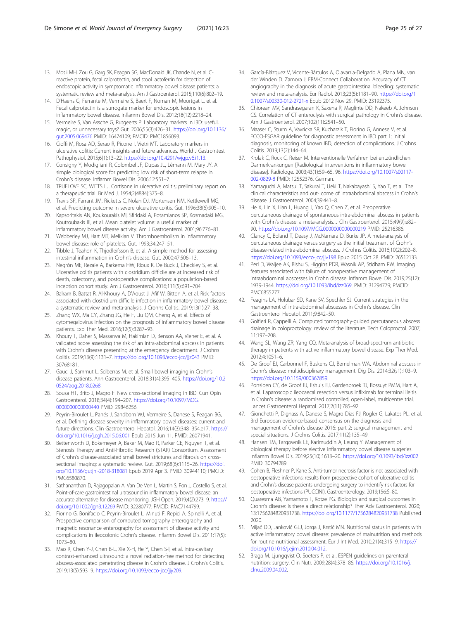- <span id="page-24-0"></span>13. Mosli MH, Zou G, Garg SK, Feagan SG, MacDonald JK, Chande N, et al. Creactive protein, fecal calprotectin, and stool lactoferrin for detection of endoscopic activity in symptomatic inflammatory bowel disease patients: a systematic review and meta-analysis. Am J Gastroenterol. 2015;110(6):802–19.
- 14. D'Haens G, Ferrante M, Vermeire S, Baert F, Noman M, Moortgat L, et al. Fecal calprotectin is a surrogate marker for endoscopic lesions in inflammatory bowel disease. Inflamm Bowel Dis. 2012;18(12):2218–24.
- 15. Vermeire S, Van Assche G, Rutgeerts P. Laboratory markers in IBD: useful, magic, or unnecessary toys? Gut. 2006;55(3):426–31. [https://doi.org/10.1136/](https://doi.org/10.1136/gut.2005.069476) [gut.2005.069476](https://doi.org/10.1136/gut.2005.069476) PMID: 16474109; PMCID: PMC1856093.
- 16. Cioffi M, Rosa AD, Serao R, Picone I, Vietri MT. Laboratory markers in ulcerative colitis: Current insights and future advances. World J Gastrointest Pathophysiol. 2015;6(1):13–22. <https://doi.org/10.4291/wjgp.v6.i1.13>.
- 17. Consigny Y, Modigliani R, Colombel JF, Dupas JL, Lémann M, Mary JY. A simple biological score for predicting low risk of short-term relapse in Crohn's disease. Inflamm Bowel Dis. 2006;12:551–7.
- 18. TRUELOVE SC, WITTS LJ. Cortisone in ulcerative colitis; preliminary report on a therapeutic trial. Br Med J. 1954;2(4884):375–8.
- 19. Travis SP, Farrant JM, Ricketts C, Nolan DJ, Mortensen NM, Kettlewell MG, et al. Predicting outcome in severe ulcerative colitis. Gut. 1996;38(6):905–10.
- 20. Kapsoritakis AN, Koukourakis MI, Sfiridaki A, Potamianos SP, Kosmadaki MG, Koutroubakis IE, et al. Mean platelet volume: a useful marker of inflammatory bowel disease activity. Am J Gastroenterol. 2001;96:776–81.
- 21. Webberley MJ, Hart MT, Melikian V. Thromboembolism in inflammatory bowel disease: role of platelets. Gut. 1993;34:247–51.
- 22. Tibble J, Teahon K, Thjodleifsson B, et al. A simple method for assessing intestinal inflammation in Crohn's disease. Gut. 2000;47:506–13.
- 23. Negrón ME, Rezaie A, Barkema HW, Rioux K, De Buck J, Checkley S, et al. Ulcerative colitis patients with clostridium difficile are at increased risk of death, colectomy, and postoperative complications: a population-based inception cohort study. Am J Gastroenterol. 2016;111(5):691–704.
- 24. Balram B, Battat R, Al-Khoury A, D'Aoust J, Afif W, Bitton A, et al. Risk factors associated with clostridium difficile infection in inflammatory bowel disease: a systematic review and meta-analysis. J Crohns Colitis. 2019;13(1):27–38.
- 25. Zhang WX, Ma CY, Zhang JG, He F, Liu QM, Cheng A, et al. Effects of cytomegalovirus infection on the prognosis of inflammatory bowel disease patients. Exp Ther Med. 2016;12(5):3287–93.
- 26. Khoury T, Daher S, Massarwa M, Hakimian D, Benson AA, Viener E, et al. A validated score assessing the risk of an intra-abdominal abscess in patients with Crohn's disease presenting at the emergency department. J Crohns Colitis. 2019;13(9):1131–7. <https://doi.org/10.1093/ecco-jcc/jjz043> PMID: 30768181.
- 27. Gauci J, Sammut L, Sciberras M, et al. Small bowel imaging in Crohn's disease patients. Ann Gastroenterol. 2018;31(4):395–405. [https://doi.org/10.2](https://doi.org/10.20524/aog.2018.0268) [0524/aog.2018.0268](https://doi.org/10.20524/aog.2018.0268).
- 28. Sousa HT, Brito J, Magro F. New cross-sectional imaging in IBD. Curr Opin Gastroenterol. 2018;34(4):194–207. [https://doi.org/10.1097/MOG.](https://doi.org/10.1097/MOG.0000000000000440) [0000000000000440](https://doi.org/10.1097/MOG.0000000000000440) PMID: 29846256.
- 29. Peyrin-Biroulet L, Panés J, Sandborn WJ, Vermeire S, Danese S, Feagan BG, et al. Defining disease severity in inflammatory bowel diseases: current and future directions. Clin Gastroenterol Hepatol. 2016;14(3):348–354.e17. [https://](https://doi.org/10.1016/j.cgh.2015.06.001) [doi.org/10.1016/j.cgh.2015.06.001](https://doi.org/10.1016/j.cgh.2015.06.001) Epub 2015 Jun 11. PMID: 26071941.
- 30. Bettenworth D, Bokemeyer A, Baker M, Mao R, Parker CE, Nguyen T, et al. Stenosis Therapy and Anti-Fibrotic Research (STAR) Consortium. Assessment of Crohn's disease-associated small bowel strictures and fibrosis on crosssectional imaging: a systematic review. Gut. 2019;68(6):1115–26. [https://doi.](https://doi.org/10.1136/gutjnl-2018-318081) [org/10.1136/gutjnl-2018-318081](https://doi.org/10.1136/gutjnl-2018-318081) Epub 2019 Apr 3. PMID: 30944110; PMCID: PMC6580870.
- 31. Sathananthan D, Rajagopalan A, Van De Ven L, Martin S, Fon J, Costello S, et al. Point-of-care gastrointestinal ultrasound in inflammatory bowel disease: an accurate alternative for disease monitoring. JGH Open. 2019;4(2):273–9. [https://](https://doi.org/10.1002/jgh3.12269) [doi.org/10.1002/jgh3.12269](https://doi.org/10.1002/jgh3.12269) PMID: 32280777; PMCID: PMC7144799.
- 32. Fiorino G, Bonifacio C, Peyrin-Biroulet L, Minuti F, Repici A, Spinelli A, et al. Prospective comparison of computed tomography enterography and magnetic resonance enterography for assessment of disease activity and complications in ileocolonic Crohn's disease. Inflamm Bowel Dis. 2011;17(5): 1073–80.
- 33. Mao R, Chen Y-J, Chen B-L, Xie X-H, He Y, Chen S-l, et al. Intra-cavitary contrast-enhanced ultrasound: a novel radiation-free method for detecting abscess-associated penetrating disease in Crohn's disease. J Crohn's Colitis. 2019;13(5):593–9. <https://doi.org/10.1093/ecco-jcc/jjy209>.
- 34. García-Blázquez V, Vicente-Bártulos A, Olavarria-Delgado A, Plana MN, van der Winden D. Zamora J; EBM-Connect Collaboration. Accuracy of CT angiography in the diagnosis of acute gastrointestinal bleeding: systematic review and meta-analysis. Eur Radiol. 2013;23(5):1181–90. [https://doi.org/1](https://doi.org/10.1007/s00330-012-2721-x) [0.1007/s00330-012-2721-x](https://doi.org/10.1007/s00330-012-2721-x) Epub 2012 Nov 29. PMID: 23192375.
- 35. Chiorean MV, Sandrasegaran K, Saxena R, Maglinte DD, Nakeeb A, Johnson CS. Correlation of CT enteroclysis with surgical pathology in Crohn's disease. Am J Gastroenterol. 2007;102(11):2541–50.
- 36. Maaser C, Sturm A, Vavricka SR, Kucharzik T, Fiorino G, Annese V, et al. ECCO-ESGAR guideline for diagnostic assessment in IBD part 1: initial diagnosis, monitoring of known IBD, detection of complications. J Crohns Colitis. 2019;13(2):144–64.
- 37. Krolak C, Rock C, Reiser M. Interventionelle Verfahren bei entzündlichen Darmerkrankungen [Radiological interventions in inflammatory bowel disease]. Radiologe. 2003;43(1):59–65, 96. [https://doi.org/10.1007/s00117-](https://doi.org/10.1007/s00117-002-0829-8) [002-0829-8](https://doi.org/10.1007/s00117-002-0829-8) PMID: 12552376. German.
- 38. Yamaguchi A, Matsui T, Sakurai T, Ueki T, Nakabayashi S, Yao T, et al. The clinical characteristics and out- come of intraabdominal abscess in Crohn's disease. J Gastroenterol. 2004;39:441–8.
- 39. He X, Lin X, Lian L, Huang J, Yao Q, Chen Z, et al. Preoperative percutaneous drainage of spontaneous intra-abdominal abscess in patients with Crohn's disease: a meta-analysis. J Clin Gastroenterol. 2015;49(9):e82– 90. <https://doi.org/10.1097/MCG.0000000000000219> PMID: 25216386.
- 40. Clancy C, Boland T, Deasy J, McNamara D, Burke JP. A meta-analysis of percutaneous drainage versus surgery as the initial treatment of Crohn's disease-related intra-abdominal abscess. J Crohns Colitis. 2016;10(2):202–8. <https://doi.org/10.1093/ecco-jcc/jjv198> Epub 2015 Oct 28. PMID: 26512133.
- 41. Perl D, Waljee AK, Bishu S, Higgins PDR, Wasnik AP, Stidham RW. Imaging features associated with failure of nonoperative management of intraabdominal abscesses in Crohn disease. Inflamm Bowel Dis. 2019;25(12): 1939-1944. [https://doi.org/10.1093/ibd/izz069.](https://doi.org/10.1093/ibd/izz069) PMID: 31294779; PMCID: PMC6855277.
- 42. Feagins LA, Holubar SD, Kane SV, Spechler SJ. Current strategies in the management of intra-abdominal abscesses in Crohn's disease. Clin Gastroenterol Hepatol. 2011;9:842–50.
- 43. Golfieri R, Cappelli A. Computed tomography-guided percutaneous abscess drainage in coloproctology: review of the literature. Tech Coloproctol. 2007; 11:197–208.
- 44. Wang SL, Wang ZR, Yang CQ. Meta-analysis of broad-spectrum antibiotic therapy in patients with active inflammatory bowel disease. Exp Ther Med. 2012;4:1051–6.
- 45. De Groof EJ, Carbonnel F, Buskens CJ, Bemelman WA. Abdominal abscess in Crohn's disease: multidisciplinary management. Dig Dis. 2014;32(s1):103–9. [https://doi.org/10.1159/000367859.](https://doi.org/10.1159/000367859)
- 46. Ponsioen CY, de Groof EJ, Eshuis EJ, Gardenbroek TJ, Bossuyt PMM, Hart A, et al. Laparoscopic ileocaecal resection versus infliximab for terminal ileitis in Crohn's disease: a randomised controlled, open-label, multicentre trial. Lancet Gastroenterol Hepatol. 2017;2(11):785–92.
- 47. Gionchetti P, Dignass A, Danese S, Magro Dias FJ, Rogler G, Lakatos PL, et al. 3rd European evidence-based consensus on the diagnosis and management of Crohn's disease 2016: part 2: surgical management and special situations. J Crohns Colitis. 2017;11(2):135–49.
- 48. Hansen TM, Targownik LE, Karimuddin A, Leung Y. Management of biological therapy before elective inflammatory bowel disease surgeries. Inflamm Bowel Dis. 2019;25(10):1613–20. <https://doi.org/10.1093/ibd/izz002> PMID: 30794289.
- 49. Cohen B, Fleshner P, Kane S. Anti-tumor necrosis factor is not associated with postoperative infections: results from prospective cohort of ulcerative colitis and Crohn's disease patients undergoing surgery to indentify risk factors for postoperative infections (PUCCINI). Gastroenterology. 2019;156:S–80.
- Quaresma AB, Yamamoto T, Kotze PG. Biologics and surgical outcomes in Crohn's disease: is there a direct relationship? Ther Adv Gastroenterol. 2020; 13:1756284820931738. <https://doi.org/10.1177/1756284820931738> Published 2020.
- 51. Mijač DD, Janković GLJ, Jorga J, Krstić MN. Nutritional status in patients with active inflammatory bowel disease: prevalence of malnutrition and methods for routine nutritional assessment. Eur J Int Med. 2010;21(4):315–9. [https://](https://doi.org/10.1016/j.ejim.2010.04.012) [doi.org/10.1016/j.ejim.2010.04.012](https://doi.org/10.1016/j.ejim.2010.04.012).
- 52. Braga M, Ljungqvist O, Soeters P, et al. ESPEN guidelines on parenteral nutrition: surgery. Clin Nutr. 2009;28(4):378–86. [https://doi.org/10.1016/j.](https://doi.org/10.1016/j.clnu.2009.04.002) [clnu.2009.04.002](https://doi.org/10.1016/j.clnu.2009.04.002).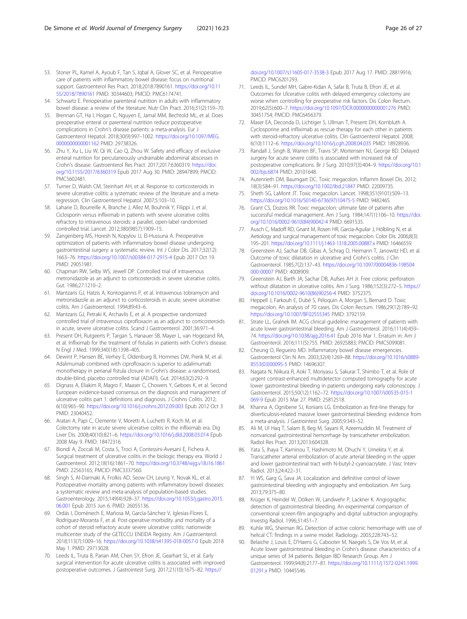- <span id="page-25-0"></span>53. Stoner PL, Kamel A, Ayoub F, Tan S, Iqbal A, Glover SC, et al. Perioperative care of patients with inflammatory bowel disease: focus on nutritional support. Gastroenterol Res Pract. 2018;2018:7890161. [https://doi.org/10.11](https://doi.org/10.1155/2018/7890161) [55/2018/7890161](https://doi.org/10.1155/2018/7890161) PMID: 30344603; PMCID: PMC6174741.
- 54. Schwartz E. Perioperative parenteral nutrition in adults with inflammatory bowel disease: a review of the literature. Nutr Clin Pract. 2016;31(2):159–70.
- 55. Brennan GT, Ha I, Hogan C, Nguyen E, Jamal MM, Bechtold ML, et al. Does preoperative enteral or parenteral nutrition reduce postoperative complications in Crohn's disease patients: a meta-analysis. Eur J Gastroenterol Hepatol. 2018;30(9):997–1002. [https://doi.org/10.1097/MEG.](https://doi.org/10.1097/MEG.0000000000001162) [0000000000001162](https://doi.org/10.1097/MEG.0000000000001162) PMID: 29738326.
- 56. Zhu Y, Xu L, Liu W, Qi W, Cao Q, Zhou W. Safety and efficacy of exclusive enteral nutrition for percutaneously undrainable abdominal abscesses in Crohn's disease. Gastroenterol Res Pract. 2017;2017:6360319. [https://doi.](https://doi.org/10.1155/2017/6360319) [org/10.1155/2017/6360319](https://doi.org/10.1155/2017/6360319) Epub 2017 Aug 30. PMID: 28947899; PMCID: PMC5602481.
- 57. Turner D, Walsh CM, Steinhart AH, et al. Response to corticosteroids in severe ulcerative colitis: a systematic review of the literature and a metaregression. Clin Gastroenterol Hepatol. 2007;5:103–10.
- 58. Laharie D, Bourreille A, Branche J, Allez M, Bouhnik Y, Filippi J, et al. Ciclosporin versus infliximab in patients with severe ulcerative colitis refractory to intravenous steroids: a parallel, open-label randomised controlled trial. Lancet. 2012;380(9857):1909–15.
- 59. Zangenberg MS, Horesh N, Kopylov U, El-Hussuna A. Preoperative optimization of patients with inflammatory bowel disease undergoing gastrointestinal surgery: a systematic review. Int J Color Dis. 2017;32(12): 1663–76. <https://doi.org/10.1007/s00384-017-2915-4> Epub 2017 Oct 19. PMID: 29051981.
- 60. Chapman RW, Selby WS, Jewell DP. Controlled trial of intravenous metronidazole as an adjunct to corticosteroids in severe ulcerative colitis. Gut. 1986;27:1210–2.
- 61. Mantzaris GJ, Hatzis A, Kontogiannis P, et al. Intravenous tobramycin and metronidazole as an adjunct to corticosteroids in acute, severe ulcerative colitis. Am J Gastroenterol. 1994;89:43–6.
- 62. Mantzaris GJ, Petraki K, Archavlis E, et al. A prospective randomized controlled trial of intravenous ciprofloxacin as an adjunct to corticosteroids in acute, severe ulcerative colitis. Scand J Gastroenterol. 2001;36:971–4.
- 63. Present DH, Rutgeerts P, Targan S, Hanauer SB, Mayer L, van Hogezand RA, et al. Infliximab for the treatment of fistulas in patients with Crohn's disease. N Engl J Med. 1999;340(18):1398–405.
- 64. Dewint P, Hansen BE, Verhey E, Oldenburg B, Hommes DW, Pierik M, et al. Adalimumab combined with ciprofloxacin is superior to adalimumab monotherapy in perianal fistula closure in Crohn's disease: a randomised, double-blind, placebo controlled trial (ADAFI). Gut. 2014;63(2):292–9.
- 65. Dignass A, Eliakim R, Magro F, Maaser C, Chowers Y, Geboes K, et al. Second European evidence-based consensus on the diagnosis and management of ulcerative colitis part 1: definitions and diagnosis. J Crohns Colitis. 2012; 6(10):965–90. <https://doi.org/10.1016/j.crohns.2012.09.003> Epub 2012 Oct 3 PMID: 23040452.
- 66. Aratari A, Papi C, Clemente V, Moretti A, Luchetti R, Koch M, et al. Colectomy rate in acute severe ulcerative colitis in the infliximab era. Dig Liver Dis. 2008;40(10):821–6. <https://doi.org/10.1016/j.dld.2008.03.014> Epub 2008 May 9. PMID: 18472316.
- 67. Biondi A, Zoccali M, Costa S, Troci A, Contessini-Avesani E, Fichera A. Surgical treatment of ulcerative colitis in the biologic therapy era. World J Gastroenterol. 2012;18(16):1861–70. <https://doi.org/10.3748/wjg.v18.i16.1861> PMID: 22563165; PMCID: PMC3337560.
- 68. Singh S, Al-Darmaki A, Frolkis AD, Seow CH, Leung Y, Novak KL, et al. Postoperative mortality among patients with inflammatory bowel diseases: a systematic review and meta-analysis of population-based studies. Gastroenterology. 2015;149(4):928–37. [https://doi.org/10.1053/j.gastro.2015.](https://doi.org/10.1053/j.gastro.2015.06.001) [06.001](https://doi.org/10.1053/j.gastro.2015.06.001) Epub 2015 Jun 6. PMID: 26055136.
- 69. Ordás I, Domènech E, Mañosa M, García-Sánchez V, Iglesias-Flores E, Rodríguez-Moranta F, et al. Post-operative morbidity and mortality of a cohort of steroid refractory acute severe ulcerative colitis: nationwide multicenter study of the GETECCU ENEIDA Registry. Am J Gastroenterol. 2018;113(7):1009–16. <https://doi.org/10.1038/s41395-018-0057-0> Epub 2018 May 1. PMID: 29713028.
- 70. Leeds IL, Truta B, Parian AM, Chen SY, Efron JE, Gearhart SL, et al. Early surgical intervention for acute ulcerative colitis is associated with improved postoperative outcomes. J Gastrointest Surg. 2017;21(10):1675–82. [https://](https://doi.org/10.1007/s11605-017-3538-3)

[doi.org/10.1007/s11605-017-3538-3](https://doi.org/10.1007/s11605-017-3538-3) Epub 2017 Aug 17. PMID: 28819916; PMCID: PMC6201293.

- 71. Leeds IL, Sundel MH, Gabre-Kidan A, Safar B, Truta B, Efron JE, et al. Outcomes for Ulcerative colitis with delayed emergency colectomy are worse when controlling for preoperative risk factors. Dis Colon Rectum. 2019;62(5):600–7. <https://doi.org/10.1097/DCR.0000000000001276> PMID: 30451754; PMCID: PMC6456379.
- 72. Maser EA, Deconda D, Lichtiger S, Ullman T, Present DH, Kornbluth A. Cyclosporine and infliximab as rescue therapy for each other in patients with steroid-refractory ulcerative colitis. Clin Gastroenterol Hepatol. 2008; 6(10):1112–6. <https://doi.org/10.1016/j.cgh.2008.04.035> PMID: 18928936.
- 73. Randall J, Singh B, Warren BF, Travis SP, Mortensen NJ, George BD. Delayed surgery for acute severe colitis is associated with increased risk of postoperative complications. Br J Surg. 2010;97(3):404–9. [https://doi.org/10.1](https://doi.org/10.1002/bjs.6874) [002/bjs.6874](https://doi.org/10.1002/bjs.6874) PMID: 20101648.
- 74. Autenrieth DM, Baumgart DC. Toxic megacolon. Inflamm Bowel Dis. 2012; 18(3):584–91. <https://doi.org/10.1002/ibd.21847> PMID: 22009735.
- 75. Sheth SG, LaMont JT. Toxic megacolon. Lancet. 1998;351(9101):509–13. [https://doi.org/10.1016/S0140-6736\(97\)10475-5](https://doi.org/10.1016/S0140-6736(97)10475-5) PMID: 9482465.
- 76. Grant CS, Dozois RR. Toxic megacolon: ultimate fate of patients after successful medical management. Am J Surg. 1984;147(1):106–10. [https://doi.](https://doi.org/10.1016/0002-9610(84)90042-4) [org/10.1016/0002-9610\(84\)90042-4](https://doi.org/10.1016/0002-9610(84)90042-4) PMID: 6691535.
- 77. Ausch C, Madoff RD, Gnant M, Rosen HR, Garcia-Aguilar J, Hölbling N, et al. Aetiology and surgical management of toxic megacolon. Color Dis. 2006;8(3): 195–201. <https://doi.org/10.1111/j.1463-1318.2005.00887.x> PMID: 16466559.
- 78. Greenstein AJ, Sachar DB, Gibas A, Schrag D, Heimann T, Janowitz HD, et al. Outcome of toxic dilatation in ulcerative and Crohn's colitis. J Clin Gastroenterol. 1985;7(2):137–43. [https://doi.org/10.1097/00004836-198504](https://doi.org/10.1097/00004836-198504000-00007) [000-00007](https://doi.org/10.1097/00004836-198504000-00007) PMID: 4008909.
- 79. Greenstein AJ, Barth JA, Sachar DB, Aufses AH Jr. Free colonic perforation without dilatation in ulcerative colitis. Am J Surg. 1986;152(3):272–5. [https://](https://doi.org/10.1016/0002-9610(86)90256-4) [doi.org/10.1016/0002-9610\(86\)90256-4](https://doi.org/10.1016/0002-9610(86)90256-4) PMID: 3752375.
- 80. Heppell J, Farkouh E, Dubé S, Péloquin A, Morgan S, Bernard D. Toxic megacolon. An analysis of 70 cases. Dis Colon Rectum. 1986;29(12):789–92. <https://doi.org/10.1007/BF02555345> PMID: 3792159.
- 81. Strate LL, Gralnek IM. ACG clinical guideline: management of patients with acute lower gastrointestinal bleeding. Am J Gastroenterol. 2016;111(4):459– 74. <https://doi.org/10.1038/ajg.2016.41> Epub 2016 Mar 1. Erratum in: Am J Gastroenterol. 2016;111(5):755. PMID: 26925883; PMCID: PMC5099081.
- 82. Cheung O, Regueiro MD. Inflammatory bowel disease emergencies. Gastroenterol Clin N Am. 2003;32(4):1269–88. [https://doi.org/10.1016/s0889-](https://doi.org/10.1016/s0889-8553(03)00095-5) [8553\(03\)00095-5](https://doi.org/10.1016/s0889-8553(03)00095-5) PMID: 14696307.
- 83. Nagata N, Niikura R, Aoki T, Moriyasu S, Sakurai T, Shimbo T, et al. Role of urgent contrast-enhanced multidetector computed tomography for acute lower gastrointestinal bleeding in patients undergoing early colonoscopy. J Gastroenterol. 2015;50(12):1162–72. [https://doi.org/10.1007/s00535-015-1](https://doi.org/10.1007/s00535-015-1069-9) [069-9](https://doi.org/10.1007/s00535-015-1069-9) Epub 2015 Mar 27. PMID: 25812518.
- 84. Khanna A, Ognibene SJ, Koniaris LG. Embolization as first-line therapy for diverticulosis-related massive lower gastrointestinal bleeding: evidence from a meta-analysis. J Gastrointest Surg. 2005;9:343–52.
- 85. Ali M, Ul Haq T, Salam B, Beg M, Sayani R, Azeemuddin M. Treatment of nonvariceal gastrointestinal hemorrhage by transcatheter embolization. Radiol Res Pract. 2013;2013:604328.
- Yata S, Ihaya T, Kaminou T, Hashimoto M, Ohuchi Y, Umekita Y, et al. Transcatheter arterial embolization of acute arterial bleeding in the upper and lower gastrointestinal tract with N-butyl-2-cyanoacrylate. J Vasc Interv Radiol. 2013;24:422–31.
- 87. Yi WS, Garg G, Sava JA. Localization and definitive control of lower gastrointestinal bleeding with angiography and embolization. Am Surg. 2013;79:375–80.
- 88. Krüger K, Heindel W, Dölken W, Landwehr P, Lackner K. Angiographic detection of gastrointestinal bleeding. An experimental comparison of conventional screen-film angiography and digital subtraction angiography. Investig Radiol. 1996;31:451–7.
- Kuhle WG, Sheiman RG. Detection of active colonic hemorrhage with use of helical CT: findings in a swine model. Radiology. 2003;228:743–52.
- 90. Belaiche J, Louis E, D'Haens G, Cabooter M, Naegels S, De Vos M, et al. Acute lower gastrointestinal bleeding in Crohn's disease: characteristics of a unique series of 34 patients. Belgian IBD Research Group. Am J Gastroenterol. 1999;94(8):2177–81. [https://doi.org/10.1111/j.1572-0241.1999.](https://doi.org/10.1111/j.1572-0241.1999.01291.x) [01291.x](https://doi.org/10.1111/j.1572-0241.1999.01291.x) PMID: 10445546.